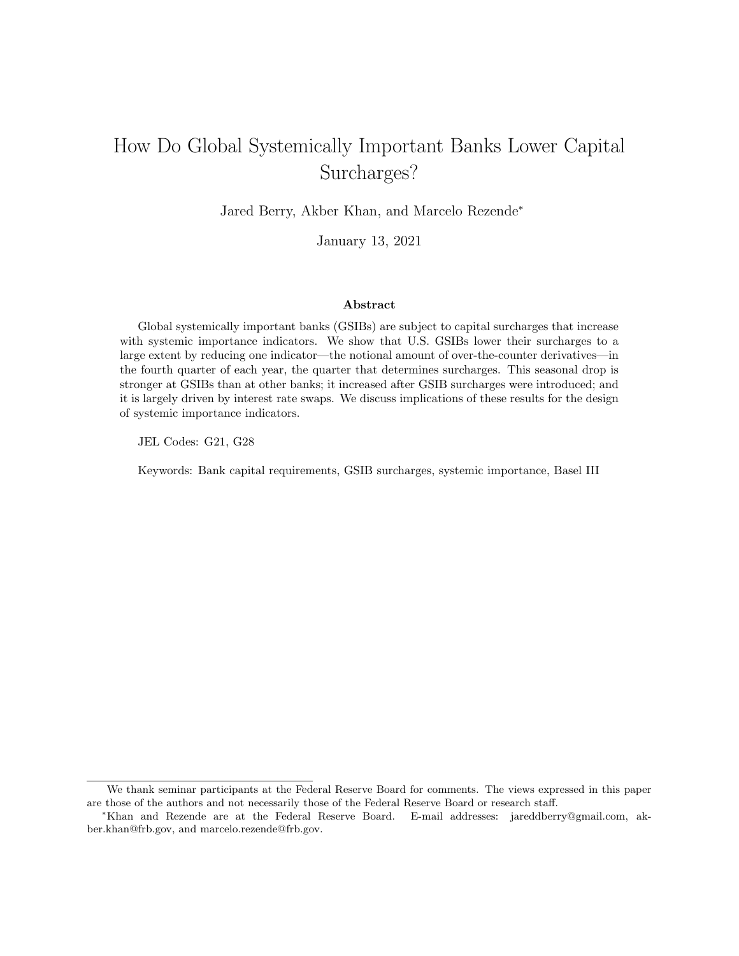# How Do Global Systemically Important Banks Lower Capital Surcharges?

Jared Berry, Akber Khan, and Marcelo Rezende<sup>∗</sup>

January 13, 2021

#### Abstract

Global systemically important banks (GSIBs) are subject to capital surcharges that increase with systemic importance indicators. We show that U.S. GSIBs lower their surcharges to a large extent by reducing one indicator—the notional amount of over-the-counter derivatives—in the fourth quarter of each year, the quarter that determines surcharges. This seasonal drop is stronger at GSIBs than at other banks; it increased after GSIB surcharges were introduced; and it is largely driven by interest rate swaps. We discuss implications of these results for the design of systemic importance indicators.

JEL Codes: G21, G28

Keywords: Bank capital requirements, GSIB surcharges, systemic importance, Basel III

We thank seminar participants at the Federal Reserve Board for comments. The views expressed in this paper are those of the authors and not necessarily those of the Federal Reserve Board or research staff.

<sup>∗</sup>Khan and Rezende are at the Federal Reserve Board. E-mail addresses: jareddberry@gmail.com, akber.khan@frb.gov, and marcelo.rezende@frb.gov.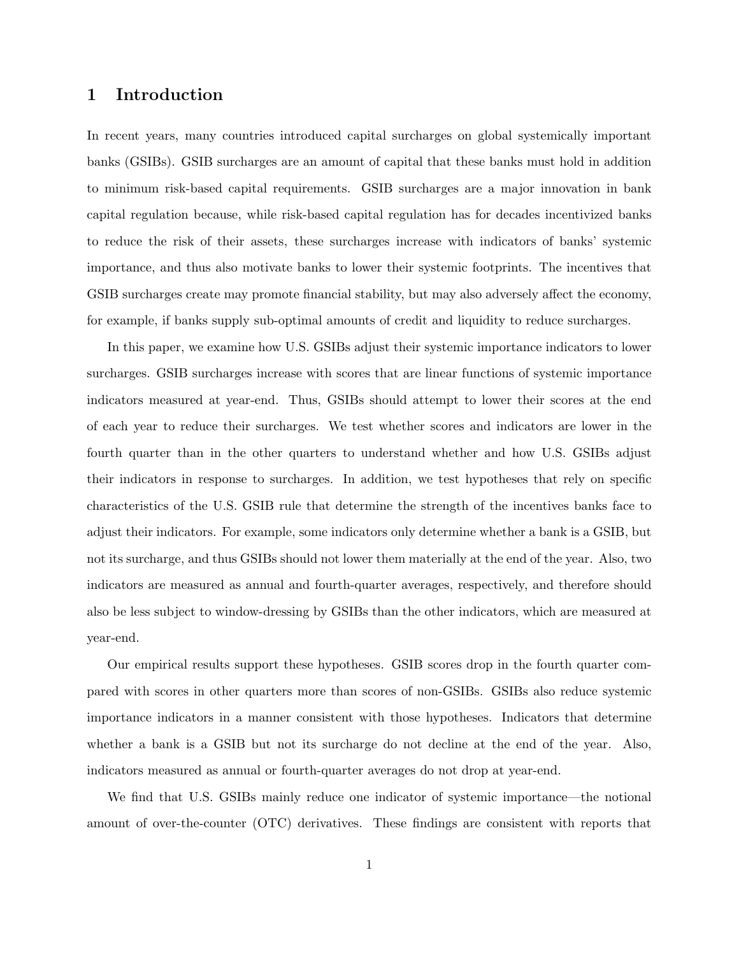### 1 Introduction

In recent years, many countries introduced capital surcharges on global systemically important banks (GSIBs). GSIB surcharges are an amount of capital that these banks must hold in addition to minimum risk-based capital requirements. GSIB surcharges are a major innovation in bank capital regulation because, while risk-based capital regulation has for decades incentivized banks to reduce the risk of their assets, these surcharges increase with indicators of banks' systemic importance, and thus also motivate banks to lower their systemic footprints. The incentives that GSIB surcharges create may promote financial stability, but may also adversely affect the economy, for example, if banks supply sub-optimal amounts of credit and liquidity to reduce surcharges.

In this paper, we examine how U.S. GSIBs adjust their systemic importance indicators to lower surcharges. GSIB surcharges increase with scores that are linear functions of systemic importance indicators measured at year-end. Thus, GSIBs should attempt to lower their scores at the end of each year to reduce their surcharges. We test whether scores and indicators are lower in the fourth quarter than in the other quarters to understand whether and how U.S. GSIBs adjust their indicators in response to surcharges. In addition, we test hypotheses that rely on specific characteristics of the U.S. GSIB rule that determine the strength of the incentives banks face to adjust their indicators. For example, some indicators only determine whether a bank is a GSIB, but not its surcharge, and thus GSIBs should not lower them materially at the end of the year. Also, two indicators are measured as annual and fourth-quarter averages, respectively, and therefore should also be less subject to window-dressing by GSIBs than the other indicators, which are measured at year-end.

Our empirical results support these hypotheses. GSIB scores drop in the fourth quarter compared with scores in other quarters more than scores of non-GSIBs. GSIBs also reduce systemic importance indicators in a manner consistent with those hypotheses. Indicators that determine whether a bank is a GSIB but not its surcharge do not decline at the end of the year. Also, indicators measured as annual or fourth-quarter averages do not drop at year-end.

We find that U.S. GSIBs mainly reduce one indicator of systemic importance—the notional amount of over-the-counter (OTC) derivatives. These findings are consistent with reports that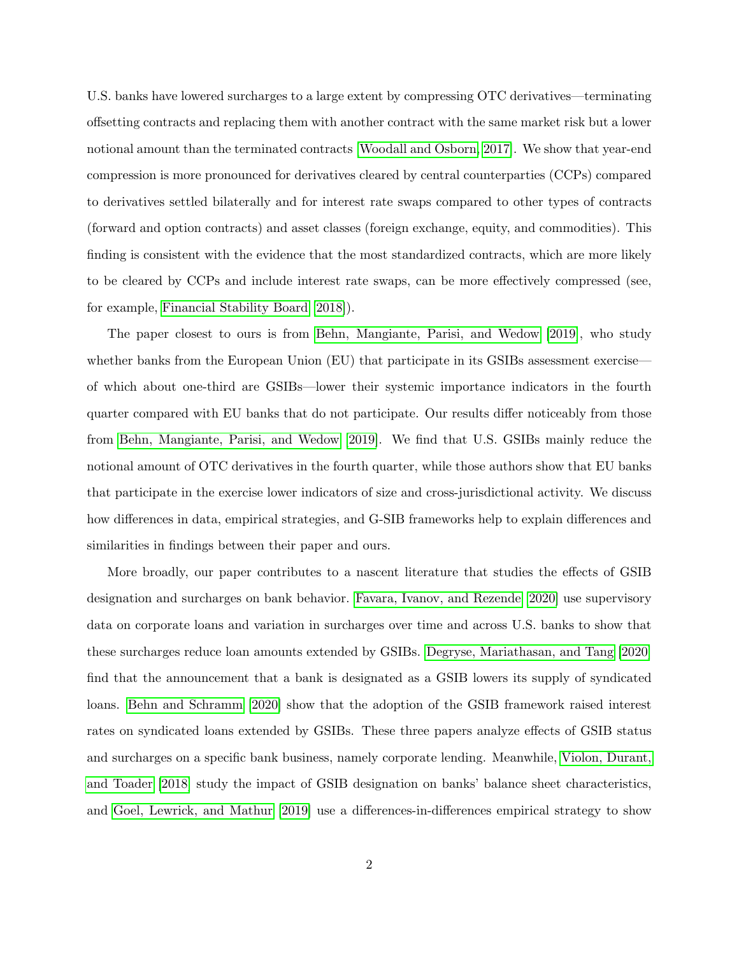U.S. banks have lowered surcharges to a large extent by compressing OTC derivatives—terminating offsetting contracts and replacing them with another contract with the same market risk but a lower notional amount than the terminated contracts [\[Woodall and Osborn, 2017\]](#page-35-0). We show that year-end compression is more pronounced for derivatives cleared by central counterparties (CCPs) compared to derivatives settled bilaterally and for interest rate swaps compared to other types of contracts (forward and option contracts) and asset classes (foreign exchange, equity, and commodities). This finding is consistent with the evidence that the most standardized contracts, which are more likely to be cleared by CCPs and include interest rate swaps, can be more effectively compressed (see, for example, [Financial Stability Board](#page-33-0) [\[2018\]](#page-33-0)).

The paper closest to ours is from [Behn, Mangiante, Parisi, and Wedow](#page-31-0) [\[2019\]](#page-31-0), who study whether banks from the European Union (EU) that participate in its GSIBs assessment exercise of which about one-third are GSIBs—lower their systemic importance indicators in the fourth quarter compared with EU banks that do not participate. Our results differ noticeably from those from [Behn, Mangiante, Parisi, and Wedow](#page-31-0) [\[2019\]](#page-31-0). We find that U.S. GSIBs mainly reduce the notional amount of OTC derivatives in the fourth quarter, while those authors show that EU banks that participate in the exercise lower indicators of size and cross-jurisdictional activity. We discuss how differences in data, empirical strategies, and G-SIB frameworks help to explain differences and similarities in findings between their paper and ours.

More broadly, our paper contributes to a nascent literature that studies the effects of GSIB designation and surcharges on bank behavior. [Favara, Ivanov, and Rezende](#page-33-1) [\[2020\]](#page-33-1) use supervisory data on corporate loans and variation in surcharges over time and across U.S. banks to show that these surcharges reduce loan amounts extended by GSIBs. [Degryse, Mariathasan, and Tang](#page-32-0) [\[2020\]](#page-32-0) find that the announcement that a bank is designated as a GSIB lowers its supply of syndicated loans. [Behn and Schramm](#page-31-1) [\[2020\]](#page-31-1) show that the adoption of the GSIB framework raised interest rates on syndicated loans extended by GSIBs. These three papers analyze effects of GSIB status and surcharges on a specific bank business, namely corporate lending. Meanwhile, [Violon, Durant,](#page-35-1) [and Toader](#page-35-1) [\[2018\]](#page-35-1) study the impact of GSIB designation on banks' balance sheet characteristics, and [Goel, Lewrick, and Mathur](#page-33-2) [\[2019\]](#page-33-2) use a differences-in-differences empirical strategy to show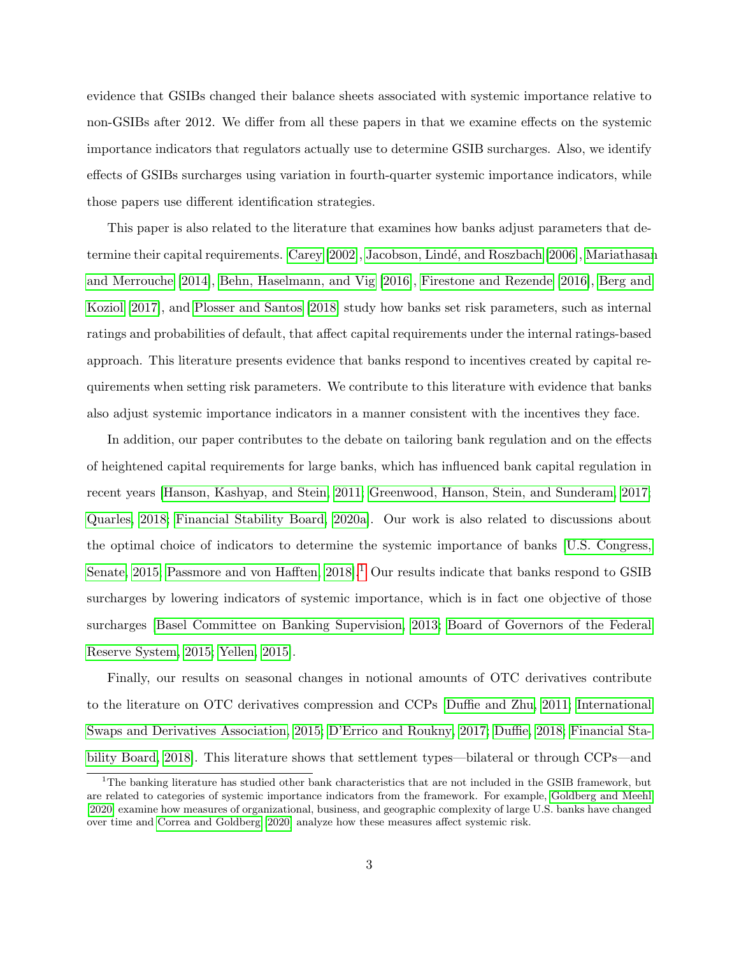evidence that GSIBs changed their balance sheets associated with systemic importance relative to non-GSIBs after 2012. We differ from all these papers in that we examine effects on the systemic importance indicators that regulators actually use to determine GSIB surcharges. Also, we identify effects of GSIBs surcharges using variation in fourth-quarter systemic importance indicators, while those papers use different identification strategies.

This paper is also related to the literature that examines how banks adjust parameters that de-termine their capital requirements. [Carey](#page-32-1) [\[2002\]](#page-32-1), Jacobson, Lindé, and Roszbach [\[2006\]](#page-34-0), [Mariathasan](#page-34-1) [and Merrouche](#page-34-1) [\[2014\]](#page-34-1), [Behn, Haselmann, and Vig](#page-31-2) [\[2016\]](#page-31-2), [Firestone and Rezende](#page-33-3) [\[2016\]](#page-33-3), [Berg and](#page-31-3) [Koziol](#page-31-3) [\[2017\]](#page-31-3), and [Plosser and Santos](#page-34-2) [\[2018\]](#page-34-2) study how banks set risk parameters, such as internal ratings and probabilities of default, that affect capital requirements under the internal ratings-based approach. This literature presents evidence that banks respond to incentives created by capital requirements when setting risk parameters. We contribute to this literature with evidence that banks also adjust systemic importance indicators in a manner consistent with the incentives they face.

In addition, our paper contributes to the debate on tailoring bank regulation and on the effects of heightened capital requirements for large banks, which has influenced bank capital regulation in recent years [\[Hanson, Kashyap, and Stein, 2011;](#page-33-4) [Greenwood, Hanson, Stein, and Sunderam, 2017;](#page-33-5) [Quarles, 2018;](#page-34-3) [Financial Stability Board, 2020a\]](#page-33-6). Our work is also related to discussions about the optimal choice of indicators to determine the systemic importance of banks [\[U.S. Congress,](#page-34-4) [Senate, 2015;](#page-34-4) Passmore and von Hafften, 20[1](#page-3-0)8<sup>[1]</sup> Our results indicate that banks respond to GSIB surcharges by lowering indicators of systemic importance, which is in fact one objective of those surcharges [\[Basel Committee on Banking Supervision, 2013;](#page-31-4) [Board of Governors of the Federal](#page-31-5) [Reserve System, 2015;](#page-31-5) [Yellen, 2015\]](#page-35-2).

Finally, our results on seasonal changes in notional amounts of OTC derivatives contribute to the literature on OTC derivatives compression and CCPs [\[Duffie and Zhu, 2011;](#page-32-2) [International](#page-34-6) [Swaps and Derivatives Association, 2015;](#page-34-6) [D'Errico and Roukny, 2017;](#page-32-3) [Duffie, 2018;](#page-32-4) [Financial Sta](#page-33-0)[bility Board, 2018\]](#page-33-0). This literature shows that settlement types—bilateral or through CCPs—and

<span id="page-3-0"></span><sup>&</sup>lt;sup>1</sup>The banking literature has studied other bank characteristics that are not included in the GSIB framework, but are related to categories of systemic importance indicators from the framework. For example, [Goldberg and Meehl](#page-33-7) [\[2020\]](#page-33-7) examine how measures of organizational, business, and geographic complexity of large U.S. banks have changed over time and [Correa and Goldberg](#page-32-5) [\[2020\]](#page-32-5) analyze how these measures affect systemic risk.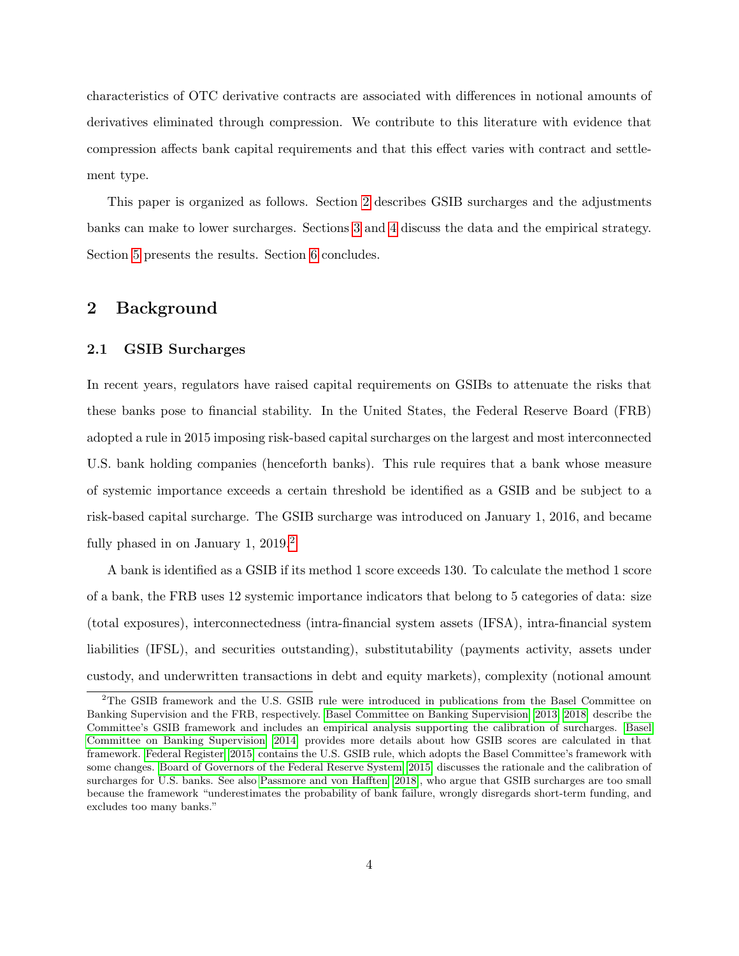characteristics of OTC derivative contracts are associated with differences in notional amounts of derivatives eliminated through compression. We contribute to this literature with evidence that compression affects bank capital requirements and that this effect varies with contract and settlement type.

This paper is organized as follows. Section [2](#page-4-0) describes GSIB surcharges and the adjustments banks can make to lower surcharges. Sections [3](#page-8-0) and [4](#page-12-0) discuss the data and the empirical strategy. Section [5](#page-14-0) presents the results. Section [6](#page-26-0) concludes.

### <span id="page-4-0"></span>2 Background

#### 2.1 GSIB Surcharges

In recent years, regulators have raised capital requirements on GSIBs to attenuate the risks that these banks pose to financial stability. In the United States, the Federal Reserve Board (FRB) adopted a rule in 2015 imposing risk-based capital surcharges on the largest and most interconnected U.S. bank holding companies (henceforth banks). This rule requires that a bank whose measure of systemic importance exceeds a certain threshold be identified as a GSIB and be subject to a risk-based capital surcharge. The GSIB surcharge was introduced on January 1, 2016, and became fully phased in on January 1, [2](#page-4-1)019.<sup>2</sup>

A bank is identified as a GSIB if its method 1 score exceeds 130. To calculate the method 1 score of a bank, the FRB uses 12 systemic importance indicators that belong to 5 categories of data: size (total exposures), interconnectedness (intra-financial system assets (IFSA), intra-financial system liabilities (IFSL), and securities outstanding), substitutability (payments activity, assets under custody, and underwritten transactions in debt and equity markets), complexity (notional amount

<span id="page-4-1"></span><sup>2</sup>The GSIB framework and the U.S. GSIB rule were introduced in publications from the Basel Committee on Banking Supervision and the FRB, respectively. [Basel Committee on Banking Supervision](#page-31-4) [\[2013,](#page-31-4) [2018\]](#page-31-6) describe the Committee's GSIB framework and includes an empirical analysis supporting the calibration of surcharges. [Basel](#page-31-7) [Committee on Banking Supervision](#page-31-7) [\[2014\]](#page-31-7) provides more details about how GSIB scores are calculated in that framework. [Federal Register](#page-33-8) [\[2015\]](#page-33-8) contains the U.S. GSIB rule, which adopts the Basel Committee's framework with some changes. [Board of Governors of the Federal Reserve System](#page-31-5) [\[2015\]](#page-31-5) discusses the rationale and the calibration of surcharges for U.S. banks. See also [Passmore and von Hafften](#page-34-5) [\[2018\]](#page-34-5), who argue that GSIB surcharges are too small because the framework "underestimates the probability of bank failure, wrongly disregards short-term funding, and excludes too many banks."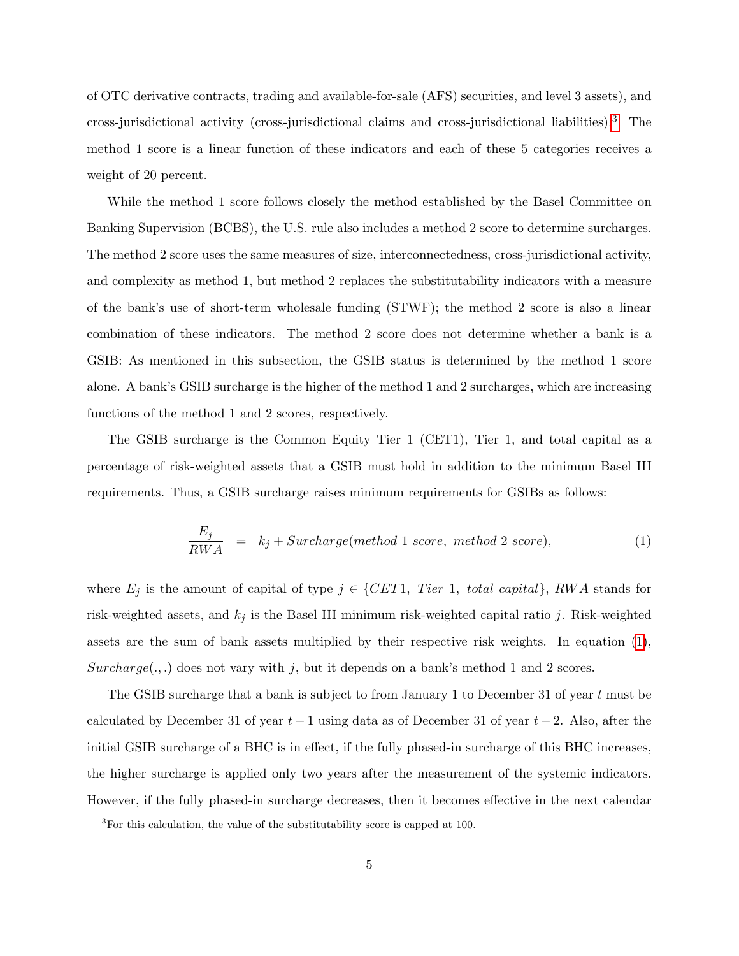of OTC derivative contracts, trading and available-for-sale (AFS) securities, and level 3 assets), and cross-jurisdictional activity (cross-jurisdictional claims and cross-jurisdictional liabilities).[3](#page-5-0) The method 1 score is a linear function of these indicators and each of these 5 categories receives a weight of 20 percent.

While the method 1 score follows closely the method established by the Basel Committee on Banking Supervision (BCBS), the U.S. rule also includes a method 2 score to determine surcharges. The method 2 score uses the same measures of size, interconnectedness, cross-jurisdictional activity, and complexity as method 1, but method 2 replaces the substitutability indicators with a measure of the bank's use of short-term wholesale funding (STWF); the method 2 score is also a linear combination of these indicators. The method 2 score does not determine whether a bank is a GSIB: As mentioned in this subsection, the GSIB status is determined by the method 1 score alone. A bank's GSIB surcharge is the higher of the method 1 and 2 surcharges, which are increasing functions of the method 1 and 2 scores, respectively.

The GSIB surcharge is the Common Equity Tier 1 (CET1), Tier 1, and total capital as a percentage of risk-weighted assets that a GSIB must hold in addition to the minimum Basel III requirements. Thus, a GSIB surcharge raises minimum requirements for GSIBs as follows:

<span id="page-5-1"></span>
$$
\frac{E_j}{RWA} = k_j + Surface(method \ 1 \ score, \ method \ 2 \ score), \tag{1}
$$

where  $E_j$  is the amount of capital of type  $j \in \{CET1, Tier 1, total capital\}$ , RWA stands for risk-weighted assets, and  $k_j$  is the Basel III minimum risk-weighted capital ratio j. Risk-weighted assets are the sum of bank assets multiplied by their respective risk weights. In equation [\(1\)](#page-5-1),  $Surcharge(.,.)$  does not vary with j, but it depends on a bank's method 1 and 2 scores.

The GSIB surcharge that a bank is subject to from January 1 to December 31 of year t must be calculated by December 31 of year  $t-1$  using data as of December 31 of year  $t-2$ . Also, after the initial GSIB surcharge of a BHC is in effect, if the fully phased-in surcharge of this BHC increases, the higher surcharge is applied only two years after the measurement of the systemic indicators. However, if the fully phased-in surcharge decreases, then it becomes effective in the next calendar

<span id="page-5-0"></span><sup>&</sup>lt;sup>3</sup>For this calculation, the value of the substitutability score is capped at 100.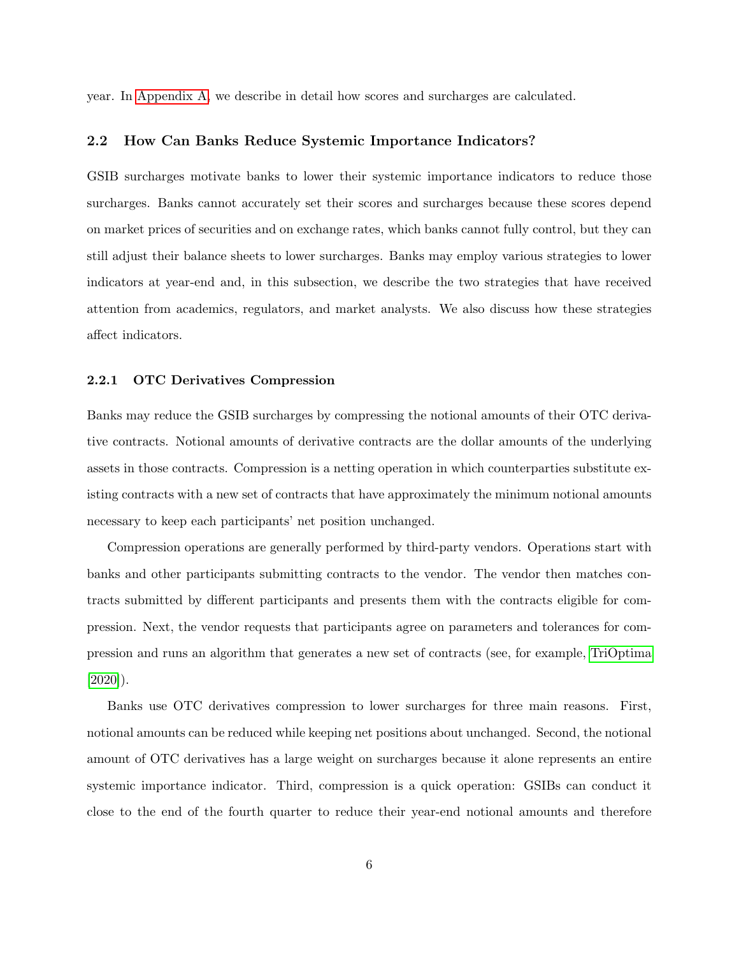year. In [Appendix A,](#page-27-0) we describe in detail how scores and surcharges are calculated.

#### 2.2 How Can Banks Reduce Systemic Importance Indicators?

GSIB surcharges motivate banks to lower their systemic importance indicators to reduce those surcharges. Banks cannot accurately set their scores and surcharges because these scores depend on market prices of securities and on exchange rates, which banks cannot fully control, but they can still adjust their balance sheets to lower surcharges. Banks may employ various strategies to lower indicators at year-end and, in this subsection, we describe the two strategies that have received attention from academics, regulators, and market analysts. We also discuss how these strategies affect indicators.

### <span id="page-6-0"></span>2.2.1 OTC Derivatives Compression

Banks may reduce the GSIB surcharges by compressing the notional amounts of their OTC derivative contracts. Notional amounts of derivative contracts are the dollar amounts of the underlying assets in those contracts. Compression is a netting operation in which counterparties substitute existing contracts with a new set of contracts that have approximately the minimum notional amounts necessary to keep each participants' net position unchanged.

Compression operations are generally performed by third-party vendors. Operations start with banks and other participants submitting contracts to the vendor. The vendor then matches contracts submitted by different participants and presents them with the contracts eligible for compression. Next, the vendor requests that participants agree on parameters and tolerances for compression and runs an algorithm that generates a new set of contracts (see, for example, [TriOptima](#page-34-7)  $[2020]$ ).

Banks use OTC derivatives compression to lower surcharges for three main reasons. First, notional amounts can be reduced while keeping net positions about unchanged. Second, the notional amount of OTC derivatives has a large weight on surcharges because it alone represents an entire systemic importance indicator. Third, compression is a quick operation: GSIBs can conduct it close to the end of the fourth quarter to reduce their year-end notional amounts and therefore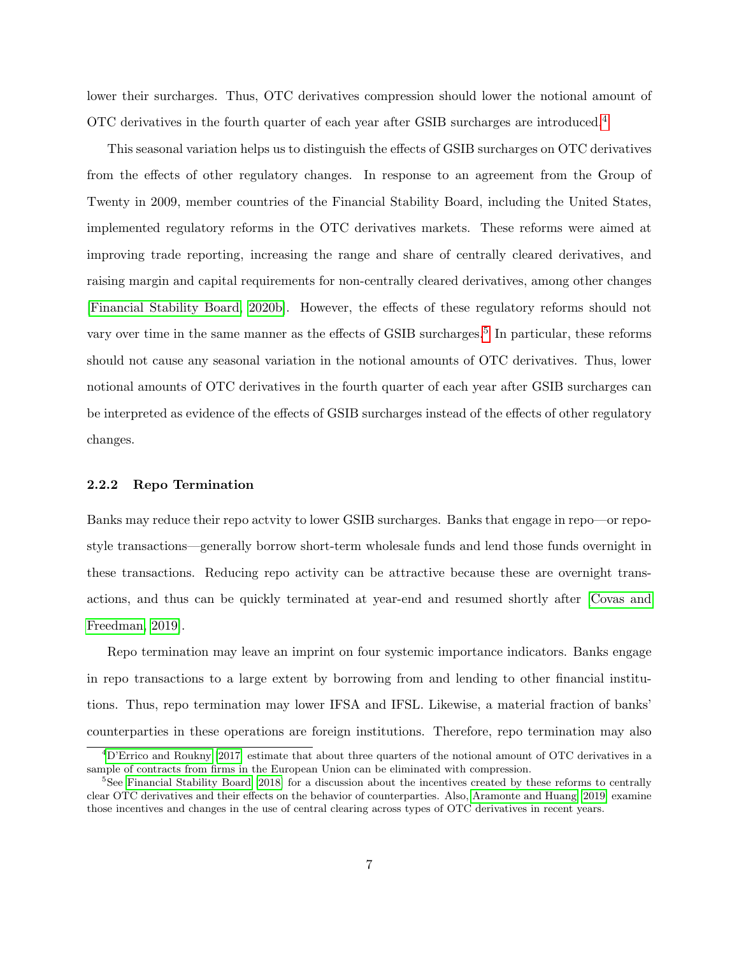lower their surcharges. Thus, OTC derivatives compression should lower the notional amount of OTC derivatives in the fourth quarter of each year after GSIB surcharges are introduced.[4](#page-7-0)

This seasonal variation helps us to distinguish the effects of GSIB surcharges on OTC derivatives from the effects of other regulatory changes. In response to an agreement from the Group of Twenty in 2009, member countries of the Financial Stability Board, including the United States, implemented regulatory reforms in the OTC derivatives markets. These reforms were aimed at improving trade reporting, increasing the range and share of centrally cleared derivatives, and raising margin and capital requirements for non-centrally cleared derivatives, among other changes [\[Financial Stability Board, 2020b\]](#page-33-9). However, the effects of these regulatory reforms should not vary over time in the same manner as the effects of GSIB surcharges.<sup>[5](#page-7-1)</sup> In particular, these reforms should not cause any seasonal variation in the notional amounts of OTC derivatives. Thus, lower notional amounts of OTC derivatives in the fourth quarter of each year after GSIB surcharges can be interpreted as evidence of the effects of GSIB surcharges instead of the effects of other regulatory changes.

### 2.2.2 Repo Termination

Banks may reduce their repo actvity to lower GSIB surcharges. Banks that engage in repo—or repostyle transactions—generally borrow short-term wholesale funds and lend those funds overnight in these transactions. Reducing repo activity can be attractive because these are overnight transactions, and thus can be quickly terminated at year-end and resumed shortly after [\[Covas and](#page-32-6) [Freedman, 2019\]](#page-32-6).

Repo termination may leave an imprint on four systemic importance indicators. Banks engage in repo transactions to a large extent by borrowing from and lending to other financial institutions. Thus, repo termination may lower IFSA and IFSL. Likewise, a material fraction of banks' counterparties in these operations are foreign institutions. Therefore, repo termination may also

<span id="page-7-0"></span><sup>4</sup>[D'Errico and Roukny](#page-32-3) [\[2017\]](#page-32-3) estimate that about three quarters of the notional amount of OTC derivatives in a sample of contracts from firms in the European Union can be eliminated with compression.

<span id="page-7-1"></span><sup>&</sup>lt;sup>5</sup>See [Financial Stability Board](#page-33-0) [\[2018\]](#page-33-0) for a discussion about the incentives created by these reforms to centrally clear OTC derivatives and their effects on the behavior of counterparties. Also, [Aramonte and Huang](#page-31-8) [\[2019\]](#page-31-8) examine those incentives and changes in the use of central clearing across types of OTC derivatives in recent years.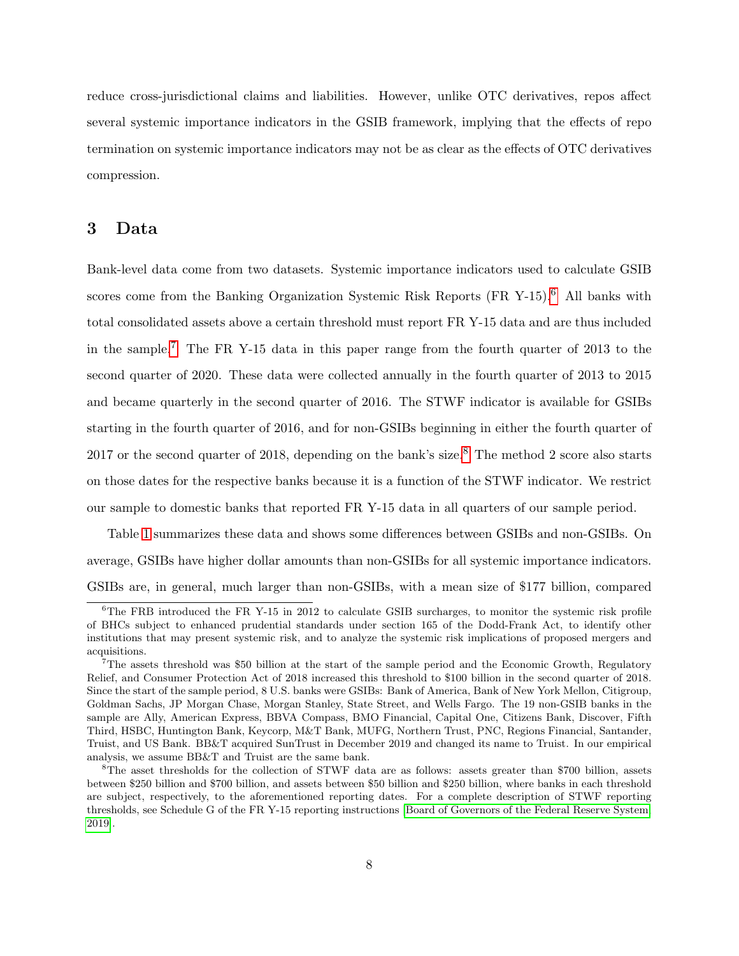reduce cross-jurisdictional claims and liabilities. However, unlike OTC derivatives, repos affect several systemic importance indicators in the GSIB framework, implying that the effects of repo termination on systemic importance indicators may not be as clear as the effects of OTC derivatives compression.

### <span id="page-8-0"></span>3 Data

Bank-level data come from two datasets. Systemic importance indicators used to calculate GSIB scores come from the Banking Organization Systemic Risk Reports  $(FR Y-15)<sup>6</sup>$  $(FR Y-15)<sup>6</sup>$  $(FR Y-15)<sup>6</sup>$  All banks with total consolidated assets above a certain threshold must report FR Y-15 data and are thus included in the sample.[7](#page-8-2) The FR Y-15 data in this paper range from the fourth quarter of 2013 to the second quarter of 2020. These data were collected annually in the fourth quarter of 2013 to 2015 and became quarterly in the second quarter of 2016. The STWF indicator is available for GSIBs starting in the fourth quarter of 2016, and for non-GSIBs beginning in either the fourth quarter of 2017 or the second quarter of 201[8](#page-8-3), depending on the bank's size.<sup>8</sup> The method 2 score also starts on those dates for the respective banks because it is a function of the STWF indicator. We restrict our sample to domestic banks that reported FR Y-15 data in all quarters of our sample period.

Table [1](#page-9-0) summarizes these data and shows some differences between GSIBs and non-GSIBs. On average, GSIBs have higher dollar amounts than non-GSIBs for all systemic importance indicators. GSIBs are, in general, much larger than non-GSIBs, with a mean size of \$177 billion, compared

<span id="page-8-1"></span> ${}^{6}$ The FRB introduced the FR Y-15 in 2012 to calculate GSIB surcharges, to monitor the systemic risk profile of BHCs subject to enhanced prudential standards under section 165 of the Dodd-Frank Act, to identify other institutions that may present systemic risk, and to analyze the systemic risk implications of proposed mergers and acquisitions.

<span id="page-8-2"></span><sup>7</sup>The assets threshold was \$50 billion at the start of the sample period and the Economic Growth, Regulatory Relief, and Consumer Protection Act of 2018 increased this threshold to \$100 billion in the second quarter of 2018. Since the start of the sample period, 8 U.S. banks were GSIBs: Bank of America, Bank of New York Mellon, Citigroup, Goldman Sachs, JP Morgan Chase, Morgan Stanley, State Street, and Wells Fargo. The 19 non-GSIB banks in the sample are Ally, American Express, BBVA Compass, BMO Financial, Capital One, Citizens Bank, Discover, Fifth Third, HSBC, Huntington Bank, Keycorp, M&T Bank, MUFG, Northern Trust, PNC, Regions Financial, Santander, Truist, and US Bank. BB&T acquired SunTrust in December 2019 and changed its name to Truist. In our empirical analysis, we assume BB&T and Truist are the same bank.

<span id="page-8-3"></span><sup>8</sup>The asset thresholds for the collection of STWF data are as follows: assets greater than \$700 billion, assets between \$250 billion and \$700 billion, and assets between \$50 billion and \$250 billion, where banks in each threshold are subject, respectively, to the aforementioned reporting dates. For a complete description of STWF reporting thresholds, see Schedule G of the FR Y-15 reporting instructions [\[Board of Governors of the Federal Reserve System,](#page-32-7) [2019\]](#page-32-7).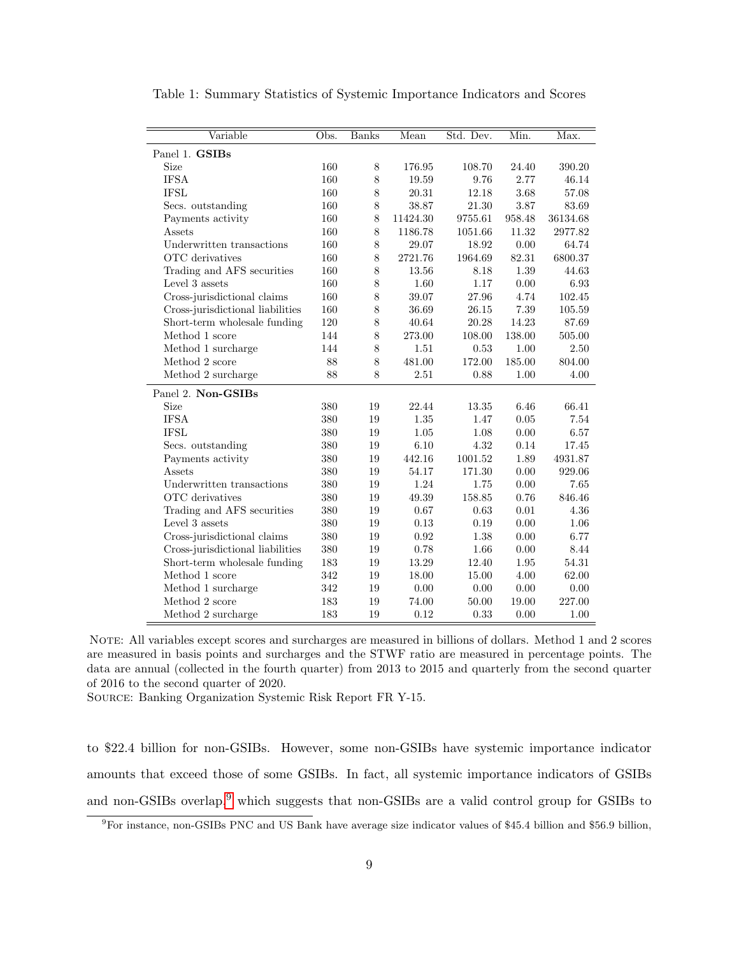| Variable                         | Obs. | <b>Banks</b> | Mean     | Std. Dev. | Min.   | Max.     |
|----------------------------------|------|--------------|----------|-----------|--------|----------|
| Panel 1. GSIBs                   |      |              |          |           |        |          |
| <b>Size</b>                      | 160  | 8            | 176.95   | 108.70    | 24.40  | 390.20   |
| <b>IFSA</b>                      | 160  | $8\,$        | 19.59    | 9.76      | 2.77   | 46.14    |
| <b>IFSL</b>                      | 160  | $8\,$        | 20.31    | 12.18     | 3.68   | 57.08    |
| Secs. outstanding                | 160  | $8\,$        | 38.87    | 21.30     | 3.87   | 83.69    |
| Payments activity                | 160  | $8\,$        | 11424.30 | 9755.61   | 958.48 | 36134.68 |
| Assets                           | 160  | $8\,$        | 1186.78  | 1051.66   | 11.32  | 2977.82  |
| Underwritten transactions        | 160  | $8\,$        | 29.07    | 18.92     | 0.00   | 64.74    |
| OTC derivatives                  | 160  | $8\,$        | 2721.76  | 1964.69   | 82.31  | 6800.37  |
| Trading and AFS securities       | 160  | 8            | 13.56    | 8.18      | 1.39   | 44.63    |
| Level 3 assets                   | 160  | $8\,$        | 1.60     | 1.17      | 0.00   | 6.93     |
| Cross-jurisdictional claims      | 160  | 8            | 39.07    | $27.96\,$ | 4.74   | 102.45   |
| Cross-jurisdictional liabilities | 160  | $8\,$        | 36.69    | 26.15     | 7.39   | 105.59   |
| Short-term wholesale funding     | 120  | 8            | 40.64    | 20.28     | 14.23  | 87.69    |
| Method 1 score                   | 144  | $8\,$        | 273.00   | 108.00    | 138.00 | 505.00   |
| Method 1 surcharge               | 144  | 8            | 1.51     | 0.53      | 1.00   | 2.50     |
| Method 2 score                   | 88   | 8            | 481.00   | 172.00    | 185.00 | 804.00   |
| Method 2 surcharge               | 88   | 8            | 2.51     | 0.88      | 1.00   | 4.00     |
| Panel 2. Non-GSIBs               |      |              |          |           |        |          |
| Size                             | 380  | 19           | 22.44    | 13.35     | 6.46   | 66.41    |
| <b>IFSA</b>                      | 380  | 19           | 1.35     | 1.47      | 0.05   | 7.54     |
| <b>IFSL</b>                      | 380  | 19           | 1.05     | 1.08      | 0.00   | 6.57     |
| Secs. outstanding                | 380  | 19           | 6.10     | 4.32      | 0.14   | 17.45    |
| Payments activity                | 380  | 19           | 442.16   | 1001.52   | 1.89   | 4931.87  |
| Assets                           | 380  | 19           | 54.17    | 171.30    | 0.00   | 929.06   |
| Underwritten transactions        | 380  | $19\,$       | 1.24     | 1.75      | 0.00   | 7.65     |
| OTC derivatives                  | 380  | 19           | 49.39    | 158.85    | 0.76   | 846.46   |
| Trading and AFS securities       | 380  | 19           | 0.67     | 0.63      | 0.01   | 4.36     |
| Level 3 assets                   | 380  | 19           | 0.13     | 0.19      | 0.00   | 1.06     |
| Cross-jurisdictional claims      | 380  | 19           | 0.92     | 1.38      | 0.00   | 6.77     |
| Cross-jurisdictional liabilities | 380  | 19           | 0.78     | 1.66      | 0.00   | 8.44     |
| Short-term wholesale funding     | 183  | 19           | 13.29    | 12.40     | 1.95   | 54.31    |
| Method 1 score                   | 342  | 19           | 18.00    | 15.00     | 4.00   | 62.00    |
| Method 1 surcharge               | 342  | 19           | 0.00     | 0.00      | 0.00   | 0.00     |
| Method 2 score                   | 183  | 19           | 74.00    | 50.00     | 19.00  | 227.00   |
| Method 2 surcharge               | 183  | 19           | 0.12     | 0.33      | 0.00   | 1.00     |

<span id="page-9-0"></span>Table 1: Summary Statistics of Systemic Importance Indicators and Scores

NOTE: All variables except scores and surcharges are measured in billions of dollars. Method 1 and 2 scores are measured in basis points and surcharges and the STWF ratio are measured in percentage points. The data are annual (collected in the fourth quarter) from 2013 to 2015 and quarterly from the second quarter of 2016 to the second quarter of 2020.

Source: Banking Organization Systemic Risk Report FR Y-15.

to \$22.4 billion for non-GSIBs. However, some non-GSIBs have systemic importance indicator amounts that exceed those of some GSIBs. In fact, all systemic importance indicators of GSIBs and non-GSIBs overlap,<sup>[9](#page-9-1)</sup> which suggests that non-GSIBs are a valid control group for GSIBs to

<span id="page-9-1"></span><sup>9</sup>For instance, non-GSIBs PNC and US Bank have average size indicator values of \$45.4 billion and \$56.9 billion,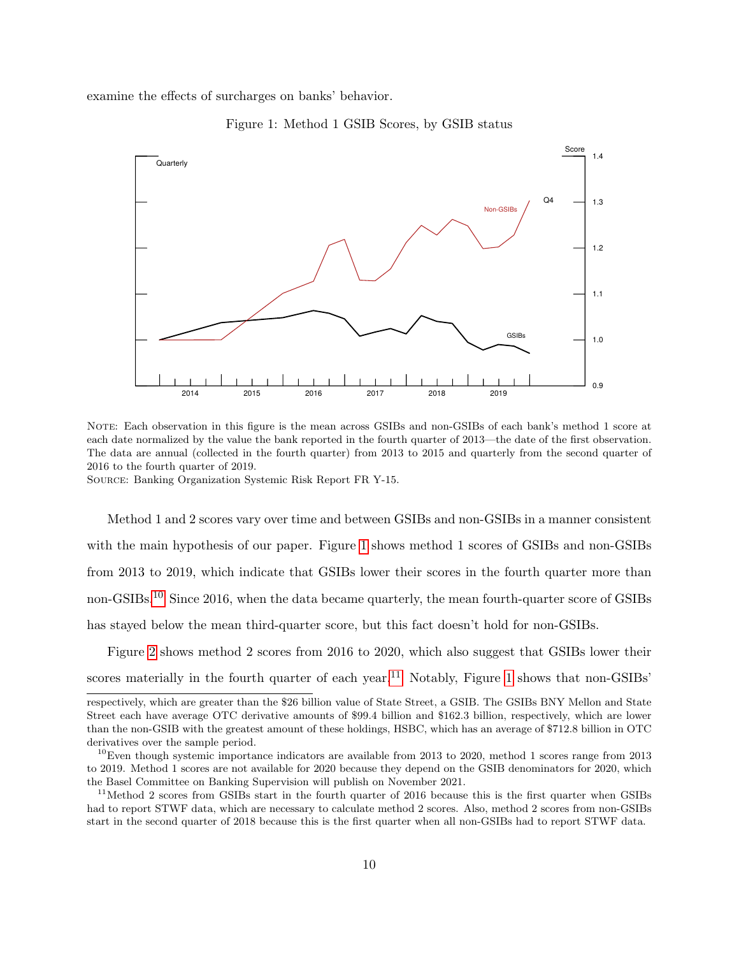<span id="page-10-0"></span>examine the effects of surcharges on banks' behavior.



Figure 1: Method 1 GSIB Scores, by GSIB status

NOTE: Each observation in this figure is the mean across GSIBs and non-GSIBs of each bank's method 1 score at each date normalized by the value the bank reported in the fourth quarter of 2013—the date of the first observation. The data are annual (collected in the fourth quarter) from 2013 to 2015 and quarterly from the second quarter of 2016 to the fourth quarter of 2019.

Source: Banking Organization Systemic Risk Report FR Y-15.

Method 1 and 2 scores vary over time and between GSIBs and non-GSIBs in a manner consistent with the main hypothesis of our paper. Figure [1](#page-10-0) shows method 1 scores of GSIBs and non-GSIBs from 2013 to 2019, which indicate that GSIBs lower their scores in the fourth quarter more than non-GSIBs.<sup>[10](#page-10-1)</sup> Since 2016, when the data became quarterly, the mean fourth-quarter score of GSIBs has stayed below the mean third-quarter score, but this fact doesn't hold for non-GSIBs.

Figure [2](#page-11-0) shows method 2 scores from 2016 to 2020, which also suggest that GSIBs lower their scores materially in the fourth quarter of each year.<sup>[11](#page-10-2)</sup> Notably, Figure [1](#page-10-0) shows that non-GSIBs'

respectively, which are greater than the \$26 billion value of State Street, a GSIB. The GSIBs BNY Mellon and State Street each have average OTC derivative amounts of \$99.4 billion and \$162.3 billion, respectively, which are lower than the non-GSIB with the greatest amount of these holdings, HSBC, which has an average of \$712.8 billion in OTC derivatives over the sample period.

<span id="page-10-1"></span> $10$ Even though systemic importance indicators are available from 2013 to 2020, method 1 scores range from 2013 to 2019. Method 1 scores are not available for 2020 because they depend on the GSIB denominators for 2020, which the Basel Committee on Banking Supervision will publish on November 2021.

<span id="page-10-2"></span><sup>&</sup>lt;sup>11</sup>Method 2 scores from GSIBs start in the fourth quarter of 2016 because this is the first quarter when GSIBs had to report STWF data, which are necessary to calculate method 2 scores. Also, method 2 scores from non-GSIBs start in the second quarter of 2018 because this is the first quarter when all non-GSIBs had to report STWF data.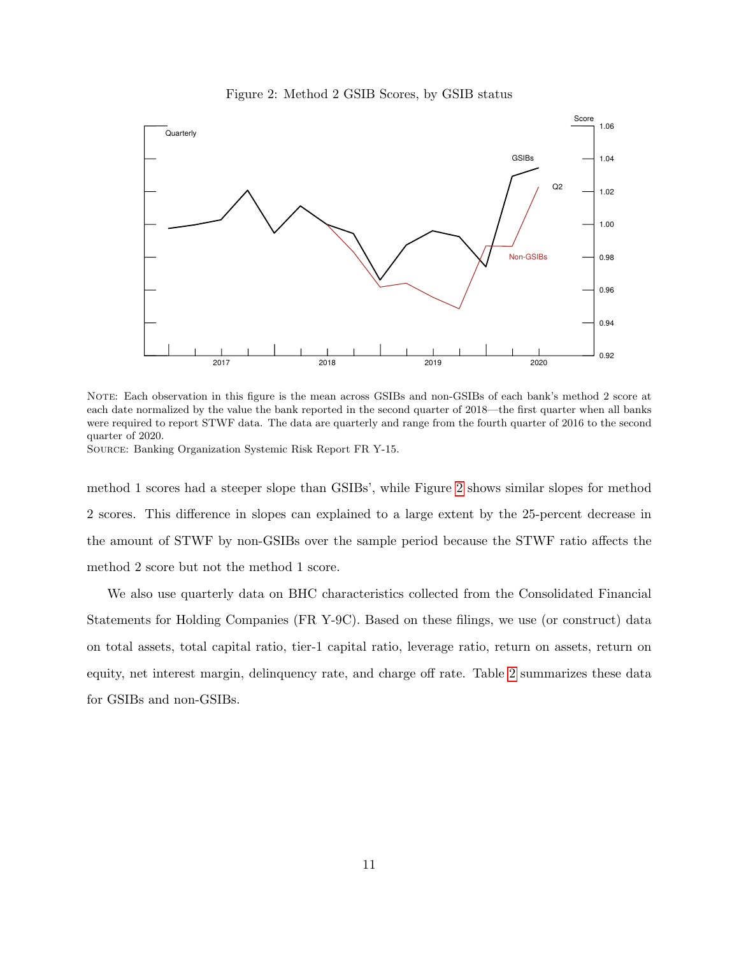

<span id="page-11-0"></span>

NOTE: Each observation in this figure is the mean across GSIBs and non-GSIBs of each bank's method 2 score at each date normalized by the value the bank reported in the second quarter of 2018—the first quarter when all banks were required to report STWF data. The data are quarterly and range from the fourth quarter of 2016 to the second quarter of 2020.

Source: Banking Organization Systemic Risk Report FR Y-15.

method 1 scores had a steeper slope than GSIBs', while Figure [2](#page-11-0) shows similar slopes for method 2 scores. This difference in slopes can explained to a large extent by the 25-percent decrease in the amount of STWF by non-GSIBs over the sample period because the STWF ratio affects the method 2 score but not the method 1 score.

We also use quarterly data on BHC characteristics collected from the Consolidated Financial Statements for Holding Companies (FR Y-9C). Based on these filings, we use (or construct) data on total assets, total capital ratio, tier-1 capital ratio, leverage ratio, return on assets, return on equity, net interest margin, delinquency rate, and charge off rate. Table [2](#page-12-1) summarizes these data for GSIBs and non-GSIBs.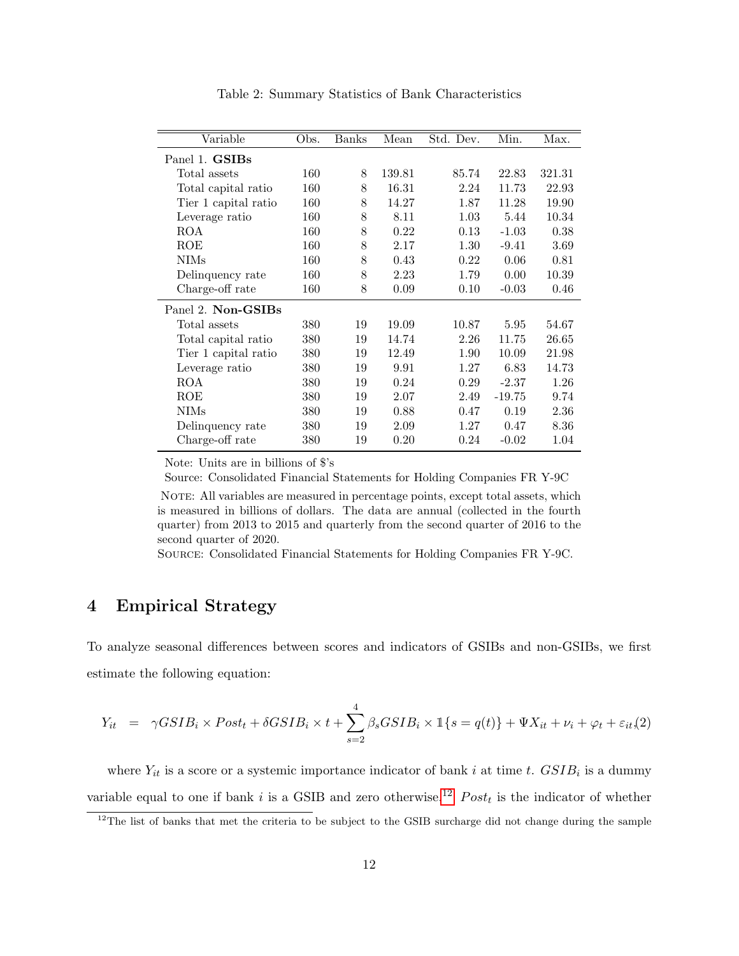<span id="page-12-1"></span>

| Variable             | Obs. | Banks | Mean   | Std. Dev. | Min.     | Max.   |
|----------------------|------|-------|--------|-----------|----------|--------|
| Panel 1. GSIBs       |      |       |        |           |          |        |
| Total assets         | 160  | 8     | 139.81 | 85.74     | 22.83    | 321.31 |
| Total capital ratio  | 160  | 8     | 16.31  | 2.24      | 11.73    | 22.93  |
| Tier 1 capital ratio | 160  | 8     | 14.27  | 1.87      | 11.28    | 19.90  |
| Leverage ratio       | 160  | 8     | 8.11   | 1.03      | 5.44     | 10.34  |
| ROA                  | 160  | 8     | 0.22   | 0.13      | $-1.03$  | 0.38   |
| ROE                  | 160  | 8     | 2.17   | 1.30      | $-9.41$  | 3.69   |
| <b>NIMs</b>          | 160  | 8     | 0.43   | 0.22      | 0.06     | 0.81   |
| Delinquency rate     | 160  | 8     | 2.23   | 1.79      | 0.00     | 10.39  |
| Charge-off rate      | 160  | 8     | 0.09   | 0.10      | $-0.03$  | 0.46   |
| Panel 2. Non-GSIBs   |      |       |        |           |          |        |
| Total assets         | 380  | 19    | 19.09  | 10.87     | 5.95     | 54.67  |
| Total capital ratio  | 380  | 19    | 14.74  | 2.26      | 11.75    | 26.65  |
| Tier 1 capital ratio | 380  | 19    | 12.49  | 1.90      | 10.09    | 21.98  |
| Leverage ratio       | 380  | 19    | 9.91   | 1.27      | 6.83     | 14.73  |
| <b>ROA</b>           | 380  | 19    | 0.24   | 0.29      | $-2.37$  | 1.26   |
| ROE                  | 380  | 19    | 2.07   | 2.49      | $-19.75$ | 9.74   |
| <b>NIMs</b>          | 380  | 19    | 0.88   | 0.47      | 0.19     | 2.36   |
| Delinquency rate     | 380  | 19    | 2.09   | 1.27      | 0.47     | 8.36   |
| Charge-off rate      | 380  | 19    | 0.20   | 0.24      | $-0.02$  | 1.04   |

<span id="page-12-4"></span>Table 2: Summary Statistics of Bank Characteristics

Note: Units are in billions of \$'s

Source: Consolidated Financial Statements for Holding Companies FR Y-9C

NOTE: All variables are measured in percentage points, except total assets, which is measured in billions of dollars. The data are annual (collected in the fourth quarter) from 2013 to 2015 and quarterly from the second quarter of 2016 to the second quarter of 2020.

Source: Consolidated Financial Statements for Holding Companies FR Y-9C.

# <span id="page-12-0"></span>4 Empirical Strategy

To analyze seasonal differences between scores and indicators of GSIBs and non-GSIBs, we first estimate the following equation:

<span id="page-12-3"></span>
$$
Y_{it} = \gamma GSIB_i \times Post_t + \delta GSIB_i \times t + \sum_{s=2}^{4} \beta_s GSIB_i \times \mathbb{1}\{s = q(t)\} + \Psi X_{it} + \nu_i + \varphi_t + \varepsilon_{it}(2)
$$

where  $Y_{it}$  is a score or a systemic importance indicator of bank i at time t.  $GSIB_i$  is a dummy variable equal to one if bank i is a GSIB and zero otherwise.<sup>[12](#page-12-2)</sup>  $Post<sub>t</sub>$  is the indicator of whether

<span id="page-12-2"></span> $12$ The list of banks that met the criteria to be subject to the GSIB surcharge did not change during the sample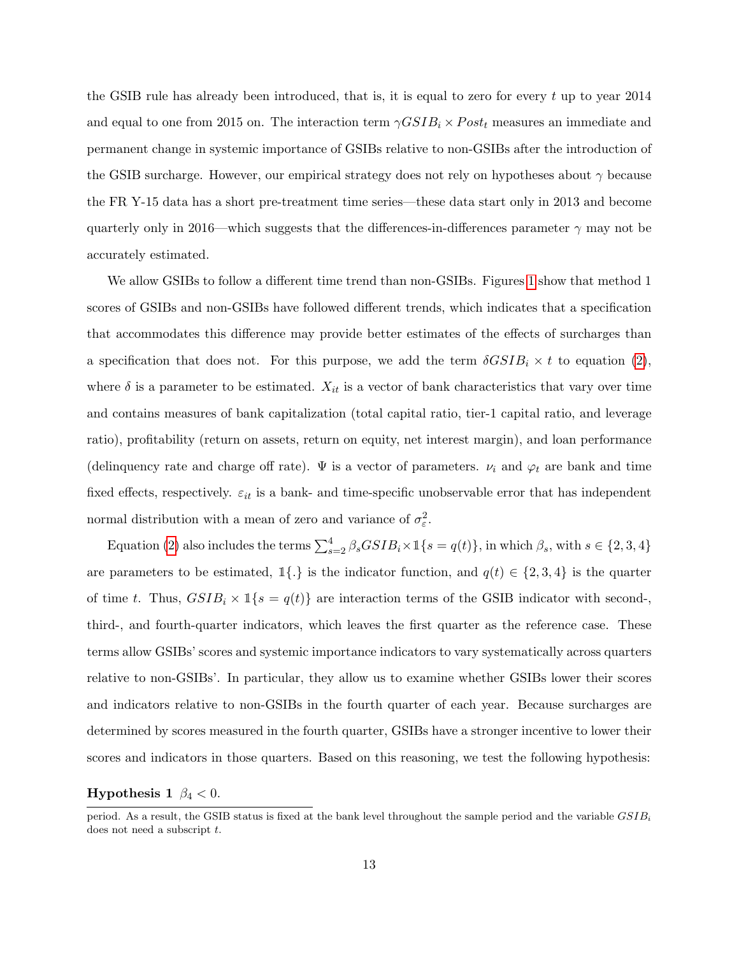the GSIB rule has already been introduced, that is, it is equal to zero for every  $t$  up to year 2014 and equal to one from 2015 on. The interaction term  $\gamma GSIB_i \times Post_t$  measures an immediate and permanent change in systemic importance of GSIBs relative to non-GSIBs after the introduction of the GSIB surcharge. However, our empirical strategy does not rely on hypotheses about  $\gamma$  because the FR Y-15 data has a short pre-treatment time series—these data start only in 2013 and become quarterly only in 2016—which suggests that the differences-in-differences parameter  $\gamma$  may not be accurately estimated.

We allow GSIBs to follow a different time trend than non-GSIBs. Figures [1](#page-10-0) show that method 1 scores of GSIBs and non-GSIBs have followed different trends, which indicates that a specification that accommodates this difference may provide better estimates of the effects of surcharges than a specification that does not. For this purpose, we add the term  $\delta GSIB_i \times t$  to equation [\(2\)](#page-12-3), where  $\delta$  is a parameter to be estimated.  $X_{it}$  is a vector of bank characteristics that vary over time and contains measures of bank capitalization (total capital ratio, tier-1 capital ratio, and leverage ratio), profitability (return on assets, return on equity, net interest margin), and loan performance (delinquency rate and charge off rate).  $\Psi$  is a vector of parameters.  $\nu_i$  and  $\varphi_t$  are bank and time fixed effects, respectively.  $\varepsilon_{it}$  is a bank- and time-specific unobservable error that has independent normal distribution with a mean of zero and variance of  $\sigma_{\varepsilon}^2$ .

Equation [\(2\)](#page-12-3) also includes the terms  $\sum_{s=2}^{4} \beta_s G S I B_i \times \mathbb{1}\{s = q(t)\}\,$ , in which  $\beta_s$ , with  $s \in \{2, 3, 4\}$ are parameters to be estimated,  $1\{\cdot\}$  is the indicator function, and  $q(t) \in \{2,3,4\}$  is the quarter of time t. Thus,  $GSIB_i \times \mathbb{1}\{s = q(t)\}\$  are interaction terms of the GSIB indicator with second-, third-, and fourth-quarter indicators, which leaves the first quarter as the reference case. These terms allow GSIBs' scores and systemic importance indicators to vary systematically across quarters relative to non-GSIBs'. In particular, they allow us to examine whether GSIBs lower their scores and indicators relative to non-GSIBs in the fourth quarter of each year. Because surcharges are determined by scores measured in the fourth quarter, GSIBs have a stronger incentive to lower their scores and indicators in those quarters. Based on this reasoning, we test the following hypothesis:

### <span id="page-13-0"></span>**Hypothesis 1**  $\beta_4 < 0$ .

period. As a result, the GSIB status is fixed at the bank level throughout the sample period and the variable  $GSIB_i$ does not need a subscript  $t$ .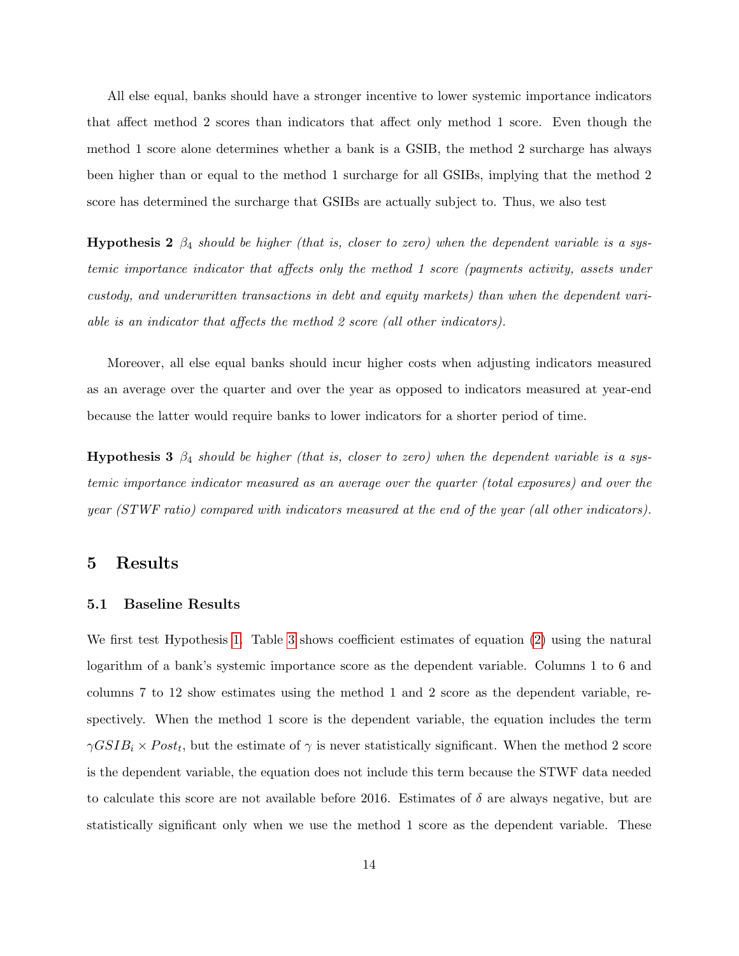All else equal, banks should have a stronger incentive to lower systemic importance indicators that affect method 2 scores than indicators that affect only method 1 score. Even though the method 1 score alone determines whether a bank is a GSIB, the method 2 surcharge has always been higher than or equal to the method 1 surcharge for all GSIBs, implying that the method 2 score has determined the surcharge that GSIBs are actually subject to. Thus, we also test

**Hypothesis 2**  $\beta_4$  should be higher (that is, closer to zero) when the dependent variable is a systemic importance indicator that affects only the method 1 score (payments activity, assets under custody, and underwritten transactions in debt and equity markets) than when the dependent variable is an indicator that affects the method 2 score (all other indicators).

Moreover, all else equal banks should incur higher costs when adjusting indicators measured as an average over the quarter and over the year as opposed to indicators measured at year-end because the latter would require banks to lower indicators for a shorter period of time.

<span id="page-14-1"></span>**Hypothesis 3**  $\beta_4$  should be higher (that is, closer to zero) when the dependent variable is a systemic importance indicator measured as an average over the quarter (total exposures) and over the year (STWF ratio) compared with indicators measured at the end of the year (all other indicators).

### <span id="page-14-0"></span>5 Results

#### <span id="page-14-2"></span>5.1 Baseline Results

We first test Hypothesis [1.](#page-13-0) Table [3](#page-16-0) shows coefficient estimates of equation [\(2\)](#page-12-3) using the natural logarithm of a bank's systemic importance score as the dependent variable. Columns 1 to 6 and columns 7 to 12 show estimates using the method 1 and 2 score as the dependent variable, respectively. When the method 1 score is the dependent variable, the equation includes the term  $\gamma GSIB_i \times Post_t$ , but the estimate of  $\gamma$  is never statistically significant. When the method 2 score is the dependent variable, the equation does not include this term because the STWF data needed to calculate this score are not available before 2016. Estimates of  $\delta$  are always negative, but are statistically significant only when we use the method 1 score as the dependent variable. These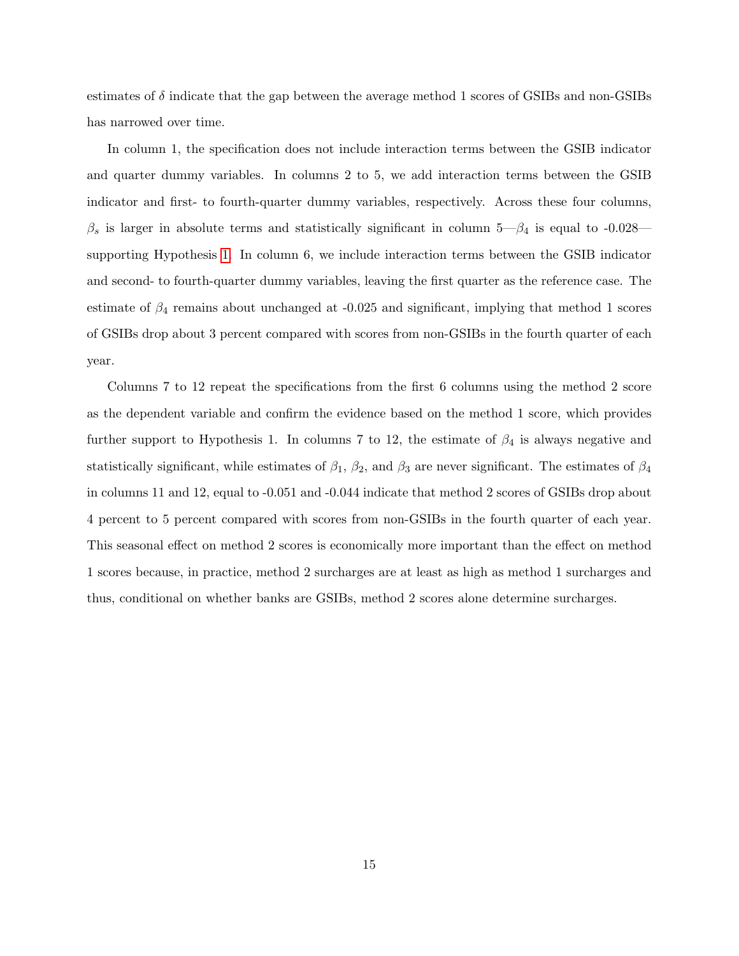estimates of  $\delta$  indicate that the gap between the average method 1 scores of GSIBs and non-GSIBs has narrowed over time.

In column 1, the specification does not include interaction terms between the GSIB indicator and quarter dummy variables. In columns 2 to 5, we add interaction terms between the GSIB indicator and first- to fourth-quarter dummy variables, respectively. Across these four columns,  $\beta_s$  is larger in absolute terms and statistically significant in column 5— $\beta_4$  is equal to -0.028 supporting Hypothesis [1.](#page-13-0) In column 6, we include interaction terms between the GSIB indicator and second- to fourth-quarter dummy variables, leaving the first quarter as the reference case. The estimate of  $\beta_4$  remains about unchanged at -0.025 and significant, implying that method 1 scores of GSIBs drop about 3 percent compared with scores from non-GSIBs in the fourth quarter of each year.

Columns 7 to 12 repeat the specifications from the first 6 columns using the method 2 score as the dependent variable and confirm the evidence based on the method 1 score, which provides further support to Hypothesis 1. In columns 7 to 12, the estimate of  $\beta_4$  is always negative and statistically significant, while estimates of  $\beta_1$ ,  $\beta_2$ , and  $\beta_3$  are never significant. The estimates of  $\beta_4$ in columns 11 and 12, equal to -0.051 and -0.044 indicate that method 2 scores of GSIBs drop about 4 percent to 5 percent compared with scores from non-GSIBs in the fourth quarter of each year. This seasonal effect on method 2 scores is economically more important than the effect on method 1 scores because, in practice, method 2 surcharges are at least as high as method 1 surcharges and thus, conditional on whether banks are GSIBs, method 2 scores alone determine surcharges.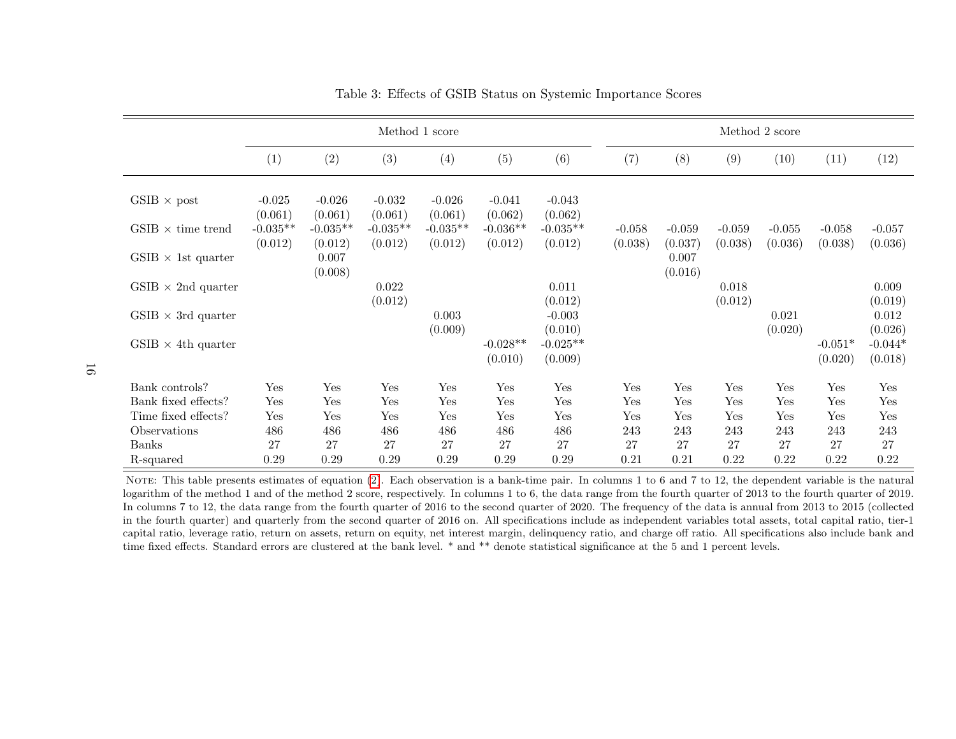|                            |                       | Method 1 score        |                       |                       |                       |                       |                     |                     |                     | Method 2 score      |                      |                      |
|----------------------------|-----------------------|-----------------------|-----------------------|-----------------------|-----------------------|-----------------------|---------------------|---------------------|---------------------|---------------------|----------------------|----------------------|
|                            | (1)                   | (2)                   | (3)                   | (4)                   | (5)                   | (6)                   | (7)                 | (8)                 | (9)                 | (10)                | (11)                 | (12)                 |
| $GSIB \times post$         | $-0.025$<br>(0.061)   | $-0.026$<br>(0.061)   | $-0.032$<br>(0.061)   | $-0.026$<br>(0.061)   | $-0.041$<br>(0.062)   | $-0.043$<br>(0.062)   |                     |                     |                     |                     |                      |                      |
| $GSIB \times$ time trend   | $-0.035**$<br>(0.012) | $-0.035**$<br>(0.012) | $-0.035**$<br>(0.012) | $-0.035**$<br>(0.012) | $-0.036**$<br>(0.012) | $-0.035**$<br>(0.012) | $-0.058$<br>(0.038) | $-0.059$<br>(0.037) | $-0.059$<br>(0.038) | $-0.055$<br>(0.036) | $-0.058$<br>(0.038)  | $-0.057$<br>(0.036)  |
| $GSIB \times 1$ st quarter |                       | 0.007<br>(0.008)      |                       |                       |                       |                       |                     | 0.007<br>(0.016)    |                     |                     |                      |                      |
| $GSIB \times 2nd$ quarter  |                       |                       | 0.022<br>(0.012)      |                       |                       | 0.011<br>(0.012)      |                     |                     | 0.018<br>(0.012)    |                     |                      | 0.009<br>(0.019)     |
| $GSIB \times 3rd$ quarter  |                       |                       |                       | 0.003<br>(0.009)      |                       | $-0.003$<br>(0.010)   |                     |                     |                     | 0.021<br>(0.020)    |                      | 0.012<br>(0.026)     |
| $GSIB \times 4th$ quarter  |                       |                       |                       |                       | $-0.028**$<br>(0.010) | $-0.025**$<br>(0.009) |                     |                     |                     |                     | $-0.051*$<br>(0.020) | $-0.044*$<br>(0.018) |
| Bank controls?             | Yes                   | Yes                   | Yes                   | Yes                   | Yes                   | Yes                   | Yes                 | Yes                 | Yes                 | Yes                 | Yes                  | Yes                  |
| Bank fixed effects?        | Yes                   | Yes                   | Yes                   | Yes                   | Yes                   | Yes                   | Yes                 | Yes                 | Yes                 | Yes                 | Yes                  | Yes                  |
| Time fixed effects?        | Yes                   | Yes                   | Yes                   | Yes                   | Yes                   | Yes                   | Yes                 | Yes                 | Yes                 | Yes                 | Yes                  | Yes                  |
| Observations               | 486                   | 486                   | 486                   | 486                   | 486                   | 486                   | 243                 | 243                 | 243                 | 243                 | 243                  | 243                  |
| Banks                      | 27                    | 27                    | $27\,$                | 27                    | $27\,$                | 27                    | 27                  | 27                  | 27                  | 27                  | 27                   | 27                   |
| R-squared                  | 0.29                  | 0.29                  | 0.29                  | 0.29                  | 0.29                  | 0.29                  | 0.21                | 0.21                | 0.22                | 0.22                | 0.22                 | 0.22                 |

<span id="page-16-0"></span>Table 3: Effects of GSIB Status on Systemic Importance Scores

NOTE: This table presents estimates of equation ([2\)](#page-12-4). Each observation is a bank-time pair. In columns 1 to 6 and 7 to 12, the dependent variable is the natural logarithm of the method 1 and of the method 2 score, respectively. In columns 1 to 6, the data range from the fourth quarter of 2013 to the fourth quarter of 2019. In columns <sup>7</sup> to 12, the data range from the fourth quarter of <sup>2016</sup> to the second quarter of 2020. The frequency of the data is annual from <sup>2013</sup> to <sup>2015</sup> (collected in the fourth quarter) and quarterly from the second quarter of <sup>2016</sup> on. All specifications include as independent variables total assets, total capital ratio, tier-1 capital ratio, leverage ratio, return on assets, return on equity, net interest margin, delinquency ratio, and charge off ratio. All specifications also include bank andtime fixed effects. Standard errors are clustered at the bank level. \* and \*\* denote statistical significance at the 5 and <sup>1</sup> percent levels.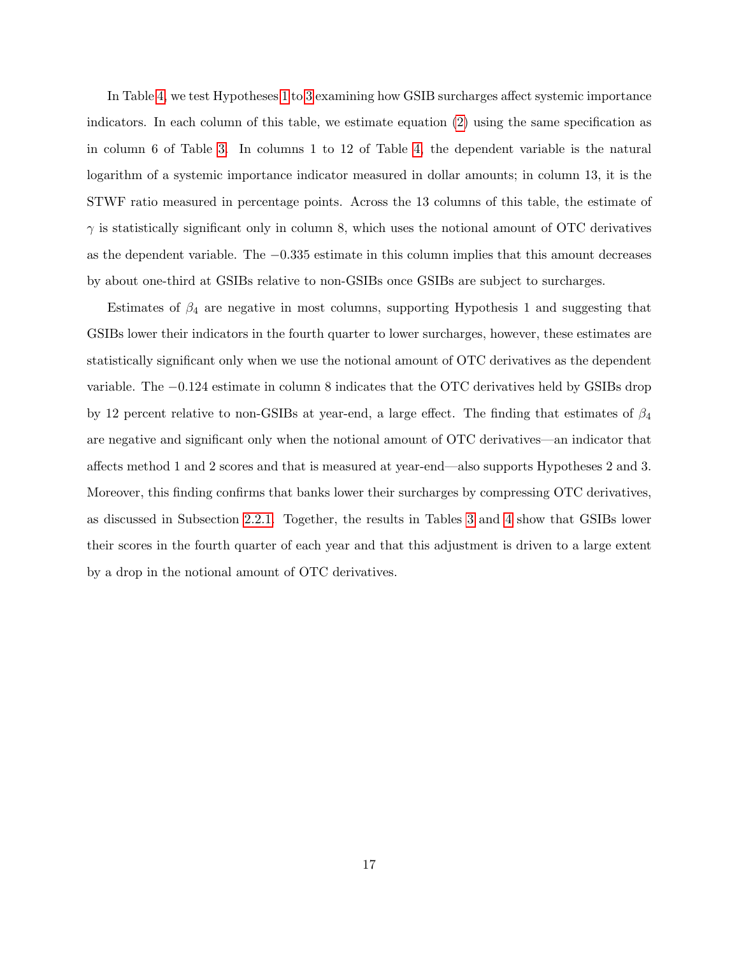In Table [4,](#page-18-0) we test Hypotheses [1](#page-13-0) to [3](#page-14-1) examining how GSIB surcharges affect systemic importance indicators. In each column of this table, we estimate equation [\(2\)](#page-12-3) using the same specification as in column 6 of Table [3.](#page-16-0) In columns 1 to 12 of Table [4,](#page-18-0) the dependent variable is the natural logarithm of a systemic importance indicator measured in dollar amounts; in column 13, it is the STWF ratio measured in percentage points. Across the 13 columns of this table, the estimate of  $\gamma$  is statistically significant only in column 8, which uses the notional amount of OTC derivatives as the dependent variable. The −0.335 estimate in this column implies that this amount decreases by about one-third at GSIBs relative to non-GSIBs once GSIBs are subject to surcharges.

Estimates of  $\beta_4$  are negative in most columns, supporting Hypothesis 1 and suggesting that GSIBs lower their indicators in the fourth quarter to lower surcharges, however, these estimates are statistically significant only when we use the notional amount of OTC derivatives as the dependent variable. The −0.124 estimate in column 8 indicates that the OTC derivatives held by GSIBs drop by 12 percent relative to non-GSIBs at year-end, a large effect. The finding that estimates of  $\beta_4$ are negative and significant only when the notional amount of OTC derivatives—an indicator that affects method 1 and 2 scores and that is measured at year-end—also supports Hypotheses 2 and 3. Moreover, this finding confirms that banks lower their surcharges by compressing OTC derivatives, as discussed in Subsection [2.2.1.](#page-6-0) Together, the results in Tables [3](#page-16-0) and [4](#page-18-0) show that GSIBs lower their scores in the fourth quarter of each year and that this adjustment is driven to a large extent by a drop in the notional amount of OTC derivatives.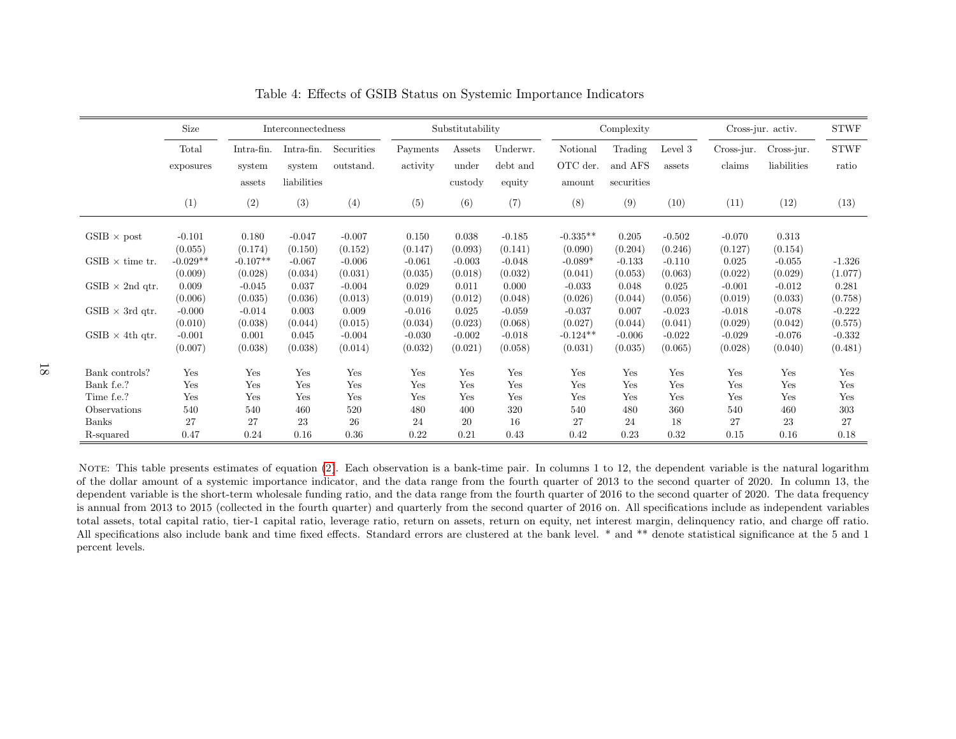|                        | Size       |            | Interconnectedness |            |          | Substitutability |          |            | Complexity |          |            | Cross-jur. activ. | <b>STWF</b>  |
|------------------------|------------|------------|--------------------|------------|----------|------------------|----------|------------|------------|----------|------------|-------------------|--------------|
|                        | Total      | Intra-fin. | Intra-fin.         | Securities | Payments | Assets           | Underwr. | Notional   | Trading    | Level 3  | Cross-jur. | Cross-jur.        | ${\rm STWF}$ |
|                        | exposures  | system     | system             | outstand.  | activity | under            | debt and | OTC der.   | and AFS    | assets   | claims     | liabilities       | ratio        |
|                        |            | assets     | liabilities        |            |          | custody          | equity   | amount     | securities |          |            |                   |              |
|                        | (1)        | (2)        | (3)                | (4)        | (5)      | (6)              | (7)      | (8)        | (9)        | (10)     | (11)       | (12)              | (13)         |
| $GSIB \times post$     | $-0.101$   | 0.180      | $-0.047$           | $-0.007$   | 0.150    | 0.038            | $-0.185$ | $-0.335**$ | 0.205      | $-0.502$ | $-0.070$   | 0.313             |              |
|                        | (0.055)    | (0.174)    | (0.150)            | (0.152)    | (0.147)  | (0.093)          | (0.141)  | (0.090)    | (0.204)    | (0.246)  | (0.127)    | (0.154)           |              |
| $GSIB \times$ time tr. | $-0.029**$ | $-0.107**$ | $-0.067$           | $-0.006$   | $-0.061$ | $-0.003$         | $-0.048$ | $-0.089*$  | $-0.133$   | $-0.110$ | 0.025      | $-0.055$          | $-1.326$     |
|                        | (0.009)    | (0.028)    | (0.034)            | (0.031)    | (0.035)  | (0.018)          | (0.032)  | (0.041)    | (0.053)    | (0.063)  | (0.022)    | (0.029)           | (1.077)      |
| $GSIB \times 2nd$ qtr. | 0.009      | $-0.045$   | 0.037              | $-0.004$   | 0.029    | 0.011            | 0.000    | $-0.033$   | 0.048      | 0.025    | $-0.001$   | $-0.012$          | 0.281        |
|                        | (0.006)    | (0.035)    | (0.036)            | (0.013)    | (0.019)  | (0.012)          | (0.048)  | (0.026)    | (0.044)    | (0.056)  | (0.019)    | (0.033)           | (0.758)      |
| $GSIB \times 3rd$ qtr. | $-0.000$   | $-0.014$   | 0.003              | 0.009      | $-0.016$ | 0.025            | $-0.059$ | $-0.037$   | 0.007      | $-0.023$ | $-0.018$   | $-0.078$          | $-0.222$     |
|                        | (0.010)    | (0.038)    | (0.044)            | (0.015)    | (0.034)  | (0.023)          | (0.068)  | (0.027)    | (0.044)    | (0.041)  | (0.029)    | (0.042)           | (0.575)      |
| $GSIB \times 4th$ qtr. | $-0.001$   | 0.001      | 0.045              | $-0.004$   | $-0.030$ | $-0.002$         | $-0.018$ | $-0.124**$ | $-0.006$   | $-0.022$ | $-0.029$   | $-0.076$          | $-0.332$     |
|                        | (0.007)    | (0.038)    | (0.038)            | (0.014)    | (0.032)  | (0.021)          | (0.058)  | (0.031)    | (0.035)    | (0.065)  | (0.028)    | (0.040)           | (0.481)      |
| Bank controls?         | Yes        | Yes        | Yes                | Yes        | Yes      | Yes              | Yes      | Yes        | Yes        | Yes      | Yes        | Yes               | Yes          |
| Bank f.e.?             | Yes        | Yes        | Yes                | Yes        | Yes      | Yes              | Yes      | Yes        | Yes        | Yes      | Yes        | Yes               | Yes          |
| Time f.e.?             | Yes        | Yes        | Yes                | Yes        | Yes      | Yes              | Yes      | Yes        | Yes        | Yes      | Yes        | Yes               | Yes          |
| Observations           | 540        | 540        | 460                | 520        | 480      | 400              | 320      | 540        | 480        | 360      | 540        | 460               | 303          |
| Banks                  | 27         | 27         | 23                 | 26         | 24       | 20               | 16       | 27         | 24         | 18       | 27         | 23                | 27           |
| R-squared              | 0.47       | 0.24       | 0.16               | 0.36       | 0.22     | 0.21             | 0.43     | 0.42       | 0.23       | 0.32     | 0.15       | 0.16              | 0.18         |

Table 4: Effects of GSIB Status on Systemic Importance Indicators

<span id="page-18-0"></span>NOTE: This table presents estimates of equation [\(2\)](#page-12-4). Each observation is a bank-time pair. In columns 1 to 12, the dependent variable is the natural logarithm of the dollar amount of <sup>a</sup> systemic importance indicator, and the data range from the fourth quarter of 2013 to the second quarter of 2020. In column 13, the dependent variable is the short-term wholesale funding ratio, and the data range from the fourth quarter of 2016 to the second quarter of 2020. The data frequency is annual from <sup>2013</sup> to <sup>2015</sup> (collected in the fourth quarter) and quarterly from the second quarter of <sup>2016</sup> on. All specifications include as independent variables total assets, total capital ratio, tier-1 capital ratio, leverage ratio, return on assets, return on equity, net interest margin, delinquency ratio, and charge off ratio.All specifications also include bank and time fixed effects. Standard errors are clustered at the bank level. \* and \*\* denote statistical significance at the 5 and 1 percent levels.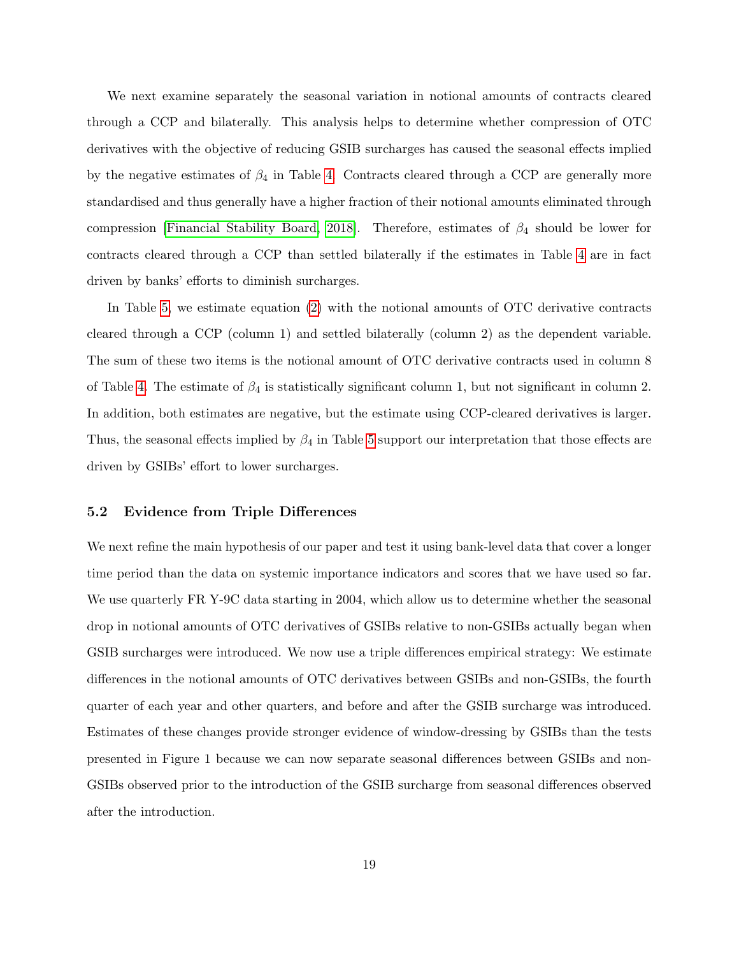We next examine separately the seasonal variation in notional amounts of contracts cleared through a CCP and bilaterally. This analysis helps to determine whether compression of OTC derivatives with the objective of reducing GSIB surcharges has caused the seasonal effects implied by the negative estimates of  $\beta_4$  in Table [4.](#page-18-0) Contracts cleared through a CCP are generally more standardised and thus generally have a higher fraction of their notional amounts eliminated through compression [\[Financial Stability Board, 2018\]](#page-33-0). Therefore, estimates of  $\beta_4$  should be lower for contracts cleared through a CCP than settled bilaterally if the estimates in Table [4](#page-18-0) are in fact driven by banks' efforts to diminish surcharges.

In Table [5,](#page-20-0) we estimate equation [\(2\)](#page-12-3) with the notional amounts of OTC derivative contracts cleared through a CCP (column 1) and settled bilaterally (column 2) as the dependent variable. The sum of these two items is the notional amount of OTC derivative contracts used in column 8 of Table [4.](#page-18-0) The estimate of  $\beta_4$  is statistically significant column 1, but not significant in column 2. In addition, both estimates are negative, but the estimate using CCP-cleared derivatives is larger. Thus, the seasonal effects implied by  $\beta_4$  in Table [5](#page-20-0) support our interpretation that those effects are driven by GSIBs' effort to lower surcharges.

### 5.2 Evidence from Triple Differences

We next refine the main hypothesis of our paper and test it using bank-level data that cover a longer time period than the data on systemic importance indicators and scores that we have used so far. We use quarterly FR Y-9C data starting in 2004, which allow us to determine whether the seasonal drop in notional amounts of OTC derivatives of GSIBs relative to non-GSIBs actually began when GSIB surcharges were introduced. We now use a triple differences empirical strategy: We estimate differences in the notional amounts of OTC derivatives between GSIBs and non-GSIBs, the fourth quarter of each year and other quarters, and before and after the GSIB surcharge was introduced. Estimates of these changes provide stronger evidence of window-dressing by GSIBs than the tests presented in Figure 1 because we can now separate seasonal differences between GSIBs and non-GSIBs observed prior to the introduction of the GSIB surcharge from seasonal differences observed after the introduction.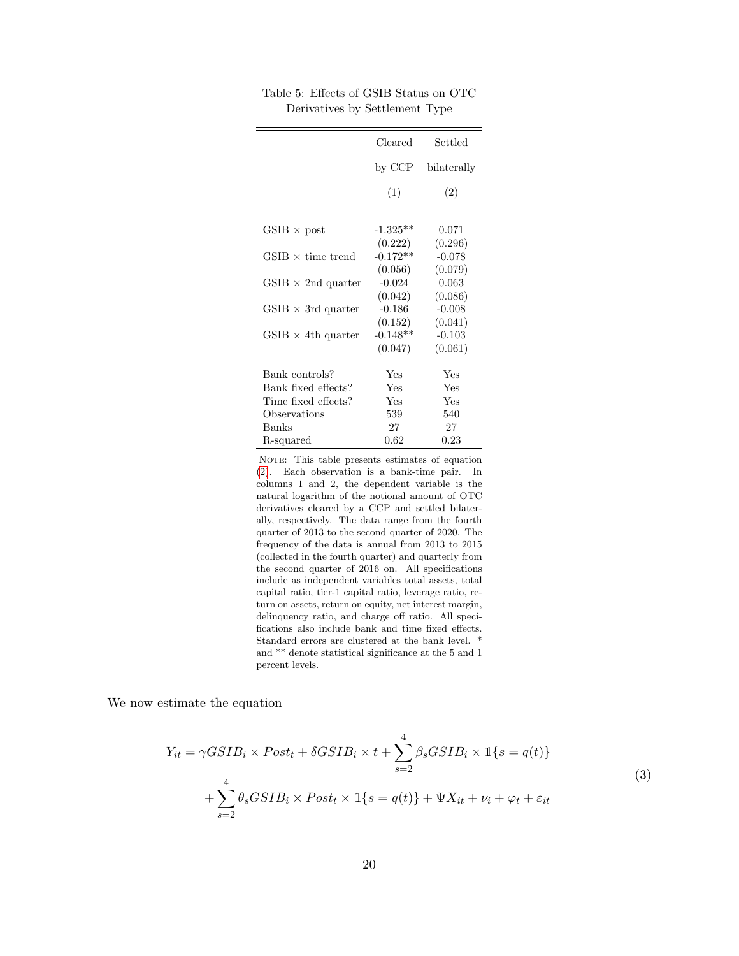|                                        | Cleared               | Settled             |
|----------------------------------------|-----------------------|---------------------|
|                                        | by CCP                | bilaterally         |
|                                        | (1)                   | (2)                 |
| $GSIB \times post$                     | $-1.325**$            | 0.071               |
| $\text{GSIB} \times \text{time trend}$ | (0.222)<br>$-0.172**$ | (0.296)<br>$-0.078$ |
| $GSIB \times 2nd$ quarter              | (0.056)<br>$-0.024$   | (0.079)<br>0.063    |
|                                        | (0.042)               | (0.086)             |
| $GSIB \times 3rd$ quarter              | $-0.186$<br>(0.152)   | $-0.008$<br>(0.041) |
| $GSIB \times 4$ th quarter             | $-0.148**$<br>(0.047) | $-0.103$<br>(0.061) |
|                                        |                       |                     |
| Bank controls?                         | Yes                   | Yes                 |
| Bank fixed effects?                    | Yes                   | Yes                 |
| Time fixed effects?                    | Yes                   | Yes                 |
| Observations                           | 539                   | 540                 |
| <b>Banks</b>                           | 27                    | 27                  |
| R-squared                              | 0.62                  | 0.23                |

<span id="page-20-0"></span>Table 5: Effects of GSIB Status on OTC Derivatives by Settlement Type

NOTE: This table presents estimates of equation [\(2\)](#page-12-3). Each observation is a bank-time pair. In columns 1 and 2, the dependent variable is the natural logarithm of the notional amount of OTC derivatives cleared by a CCP and settled bilaterally, respectively. The data range from the fourth quarter of 2013 to the second quarter of 2020. The frequency of the data is annual from 2013 to 2015 (collected in the fourth quarter) and quarterly from the second quarter of 2016 on. All specifications include as independent variables total assets, total capital ratio, tier-1 capital ratio, leverage ratio, return on assets, return on equity, net interest margin, delinquency ratio, and charge off ratio. All specifications also include bank and time fixed effects. Standard errors are clustered at the bank level. \* and \*\* denote statistical significance at the 5 and 1 percent levels.

We now estimate the equation

<span id="page-20-1"></span>
$$
Y_{it} = \gamma GSIB_i \times Post_t + \delta GSIB_i \times t + \sum_{s=2}^{4} \beta_s GSIB_i \times \mathbb{I}\{s = q(t)\}
$$
  
+ 
$$
\sum_{s=2}^{4} \theta_s GSIB_i \times Post_t \times \mathbb{I}\{s = q(t)\} + \Psi X_{it} + \nu_i + \varphi_t + \varepsilon_{it}
$$
 (3)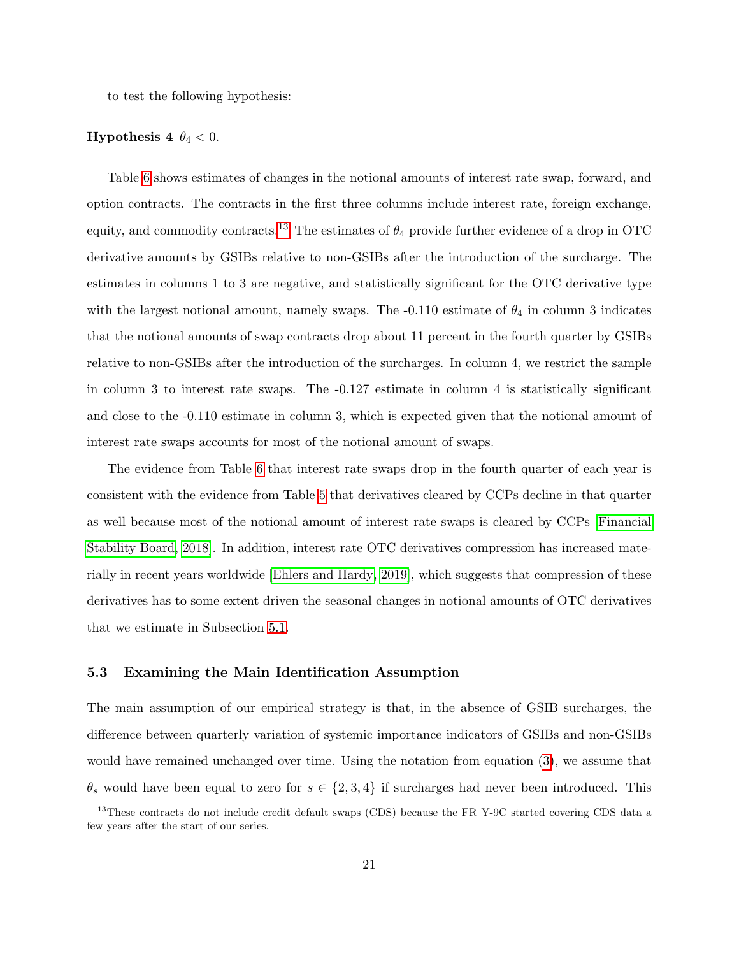to test the following hypothesis:

### **Hypothesis 4**  $\theta_4 < 0$ .

Table [6](#page-22-0) shows estimates of changes in the notional amounts of interest rate swap, forward, and option contracts. The contracts in the first three columns include interest rate, foreign exchange, equity, and commodity contracts.<sup>[13](#page-21-0)</sup> The estimates of  $\theta_4$  provide further evidence of a drop in OTC derivative amounts by GSIBs relative to non-GSIBs after the introduction of the surcharge. The estimates in columns 1 to 3 are negative, and statistically significant for the OTC derivative type with the largest notional amount, namely swaps. The -0.110 estimate of  $\theta_4$  in column 3 indicates that the notional amounts of swap contracts drop about 11 percent in the fourth quarter by GSIBs relative to non-GSIBs after the introduction of the surcharges. In column 4, we restrict the sample in column 3 to interest rate swaps. The -0.127 estimate in column 4 is statistically significant and close to the -0.110 estimate in column 3, which is expected given that the notional amount of interest rate swaps accounts for most of the notional amount of swaps.

The evidence from Table [6](#page-22-0) that interest rate swaps drop in the fourth quarter of each year is consistent with the evidence from Table [5](#page-20-0) that derivatives cleared by CCPs decline in that quarter as well because most of the notional amount of interest rate swaps is cleared by CCPs [\[Financial](#page-33-0) [Stability Board, 2018\]](#page-33-0). In addition, interest rate OTC derivatives compression has increased materially in recent years worldwide [\[Ehlers and Hardy, 2019\]](#page-33-10), which suggests that compression of these derivatives has to some extent driven the seasonal changes in notional amounts of OTC derivatives that we estimate in Subsection [5.1.](#page-14-2)

### 5.3 Examining the Main Identification Assumption

The main assumption of our empirical strategy is that, in the absence of GSIB surcharges, the difference between quarterly variation of systemic importance indicators of GSIBs and non-GSIBs would have remained unchanged over time. Using the notation from equation [\(3\)](#page-20-1), we assume that  $\theta_s$  would have been equal to zero for  $s \in \{2,3,4\}$  if surcharges had never been introduced. This

<span id="page-21-0"></span><sup>&</sup>lt;sup>13</sup>These contracts do not include credit default swaps (CDS) because the FR Y-9C started covering CDS data a few years after the start of our series.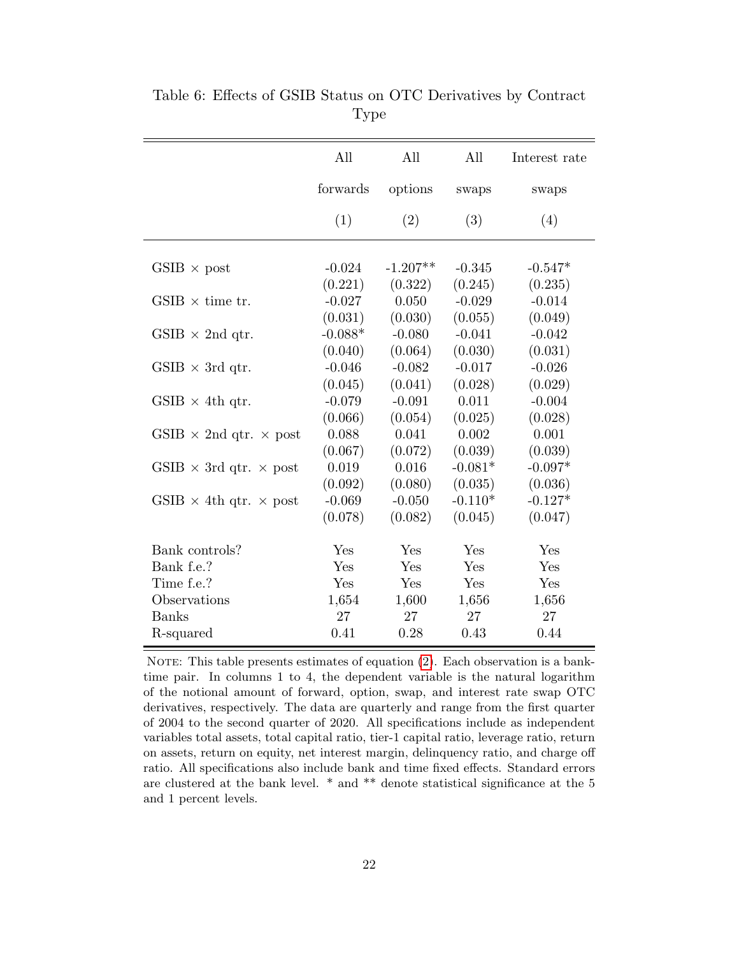|                                      | All       | All        | All       | Interest rate |
|--------------------------------------|-----------|------------|-----------|---------------|
|                                      | forwards  | options    | swaps     | swaps         |
|                                      | (1)       | (2)        | (3)       | (4)           |
|                                      |           |            |           |               |
| $GSIB \times post$                   | $-0.024$  | $-1.207**$ | $-0.345$  | $-0.547*$     |
|                                      | (0.221)   | (0.322)    | (0.245)   | (0.235)       |
| $GSIB \times$ time tr.               | $-0.027$  | 0.050      | $-0.029$  | $-0.014$      |
|                                      | (0.031)   | (0.030)    | (0.055)   | (0.049)       |
| $GSIB \times 2nd$ qtr.               | $-0.088*$ | $-0.080$   | $-0.041$  | $-0.042$      |
|                                      | (0.040)   | (0.064)    | (0.030)   | (0.031)       |
| $GSIB \times 3rd$ qtr.               | $-0.046$  | $-0.082$   | $-0.017$  | $-0.026$      |
|                                      | (0.045)   | (0.041)    | (0.028)   | (0.029)       |
| $GSIB \times 4th$ qtr.               | $-0.079$  | $-0.091$   | 0.011     | $-0.004$      |
|                                      | (0.066)   | (0.054)    | (0.025)   | (0.028)       |
| GSIB $\times$ 2nd qtr. $\times$ post | 0.088     | 0.041      | 0.002     | 0.001         |
|                                      | (0.067)   | (0.072)    | (0.039)   | (0.039)       |
| GSIB $\times$ 3rd qtr. $\times$ post | 0.019     | 0.016      | $-0.081*$ | $-0.097*$     |
|                                      | (0.092)   | (0.080)    | (0.035)   | (0.036)       |
| GSIB $\times$ 4th qtr. $\times$ post | $-0.069$  | $-0.050$   | $-0.110*$ | $-0.127*$     |
|                                      | (0.078)   | (0.082)    | (0.045)   | (0.047)       |
| Bank controls?                       | Yes       | Yes        | Yes       | Yes           |
| Bank f.e.?                           | Yes       | Yes        | Yes       | Yes           |
| Time f.e.?                           | Yes       | Yes        | Yes       | Yes           |
| Observations                         | 1,654     | 1,600      | 1,656     | 1,656         |
| <b>Banks</b>                         | 27        | 27         | 27        | 27            |
| R-squared                            | 0.41      | 0.28       | 0.43      | 0.44          |

<span id="page-22-0"></span>Table 6: Effects of GSIB Status on OTC Derivatives by Contract Type

NOTE: This table presents estimates of equation  $(2)$ . Each observation is a banktime pair. In columns 1 to 4, the dependent variable is the natural logarithm of the notional amount of forward, option, swap, and interest rate swap OTC derivatives, respectively. The data are quarterly and range from the first quarter of 2004 to the second quarter of 2020. All specifications include as independent variables total assets, total capital ratio, tier-1 capital ratio, leverage ratio, return on assets, return on equity, net interest margin, delinquency ratio, and charge off ratio. All specifications also include bank and time fixed effects. Standard errors are clustered at the bank level. \* and \*\* denote statistical significance at the 5 and 1 percent levels.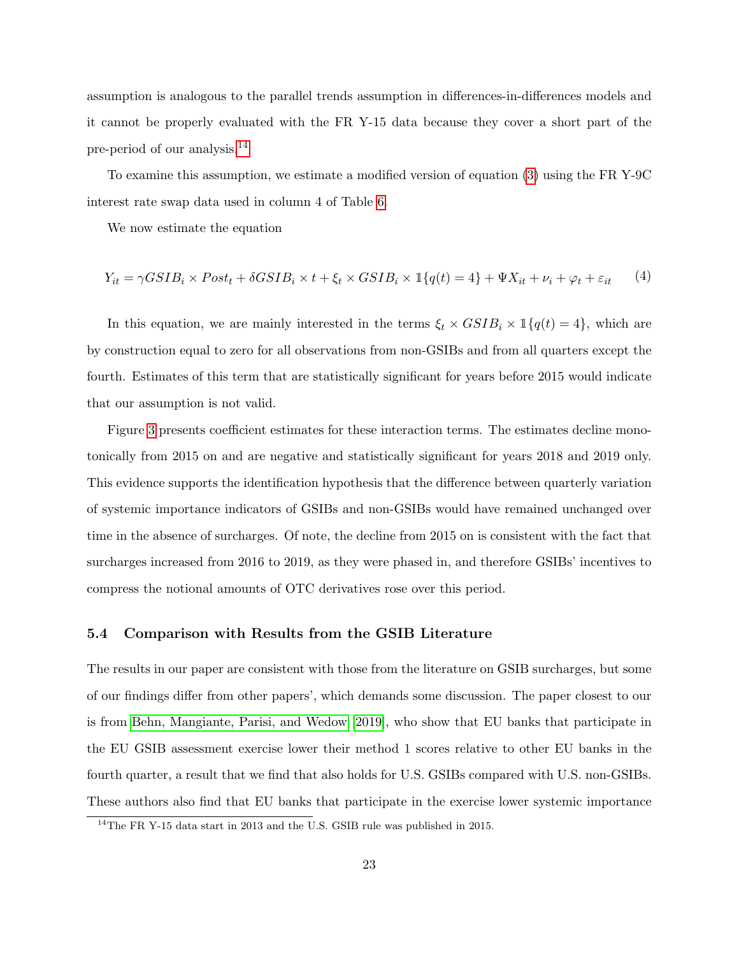assumption is analogous to the parallel trends assumption in differences-in-differences models and it cannot be properly evaluated with the FR Y-15 data because they cover a short part of the pre-period of our analysis.[14](#page-23-0)

To examine this assumption, we estimate a modified version of equation [\(3\)](#page-20-1) using the FR Y-9C interest rate swap data used in column 4 of Table [6.](#page-22-0)

We now estimate the equation

<span id="page-23-1"></span>
$$
Y_{it} = \gamma GSIB_i \times Post_t + \delta GSIB_i \times t + \xi_t \times GSIB_i \times \mathbb{1}\{q(t) = 4\} + \Psi X_{it} + \nu_i + \varphi_t + \varepsilon_{it} \tag{4}
$$

In this equation, we are mainly interested in the terms  $\xi_t \times GSIB_i \times \mathbb{1}{q(t) = 4}$ , which are by construction equal to zero for all observations from non-GSIBs and from all quarters except the fourth. Estimates of this term that are statistically significant for years before 2015 would indicate that our assumption is not valid.

Figure [3](#page-24-0) presents coefficient estimates for these interaction terms. The estimates decline monotonically from 2015 on and are negative and statistically significant for years 2018 and 2019 only. This evidence supports the identification hypothesis that the difference between quarterly variation of systemic importance indicators of GSIBs and non-GSIBs would have remained unchanged over time in the absence of surcharges. Of note, the decline from 2015 on is consistent with the fact that surcharges increased from 2016 to 2019, as they were phased in, and therefore GSIBs' incentives to compress the notional amounts of OTC derivatives rose over this period.

#### 5.4 Comparison with Results from the GSIB Literature

The results in our paper are consistent with those from the literature on GSIB surcharges, but some of our findings differ from other papers', which demands some discussion. The paper closest to our is from [Behn, Mangiante, Parisi, and Wedow](#page-31-0) [\[2019\]](#page-31-0), who show that EU banks that participate in the EU GSIB assessment exercise lower their method 1 scores relative to other EU banks in the fourth quarter, a result that we find that also holds for U.S. GSIBs compared with U.S. non-GSIBs. These authors also find that EU banks that participate in the exercise lower systemic importance

<span id="page-23-0"></span><sup>14</sup>The FR Y-15 data start in 2013 and the U.S. GSIB rule was published in 2015.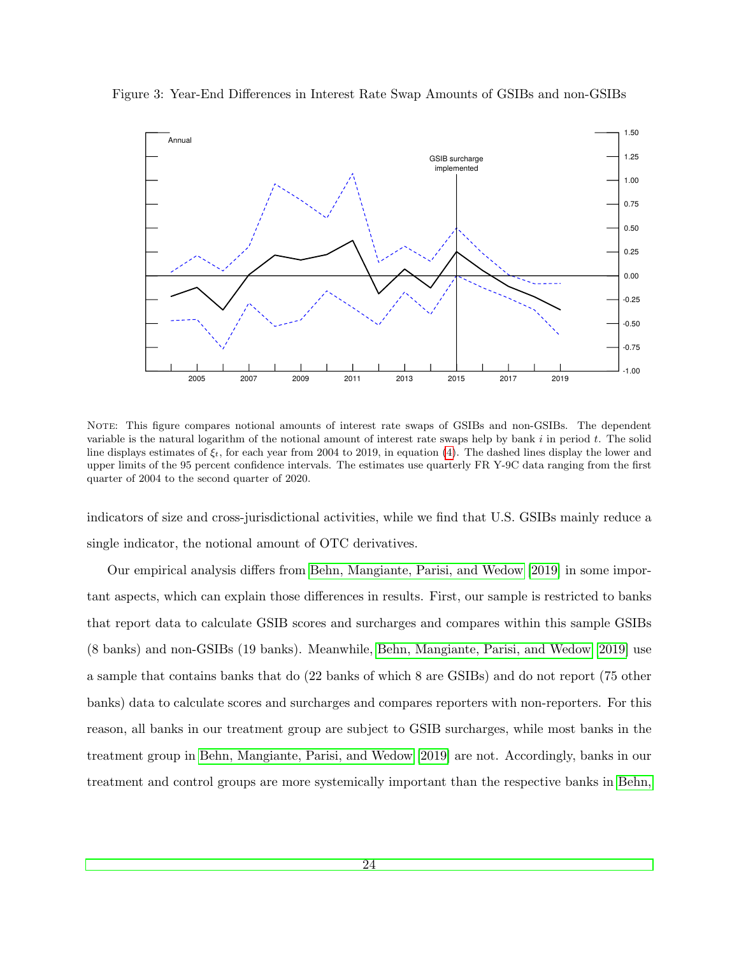<span id="page-24-0"></span>Figure 3: Year-End Differences in Interest Rate Swap Amounts of GSIBs and non-GSIBs



NOTE: This figure compares notional amounts of interest rate swaps of GSIBs and non-GSIBs. The dependent variable is the natural logarithm of the notional amount of interest rate swaps help by bank  $i$  in period  $t$ . The solid line displays estimates of  $\xi_t$ , for each year from 2004 to 2019, in equation [\(4\)](#page-23-1). The dashed lines display the lower and upper limits of the 95 percent confidence intervals. The estimates use quarterly FR Y-9C data ranging from the first quarter of 2004 to the second quarter of 2020.

indicators of size and cross-jurisdictional activities, while we find that U.S. GSIBs mainly reduce a single indicator, the notional amount of OTC derivatives.

Our empirical analysis differs from [Behn, Mangiante, Parisi, and Wedow](#page-31-0) [\[2019\]](#page-31-0) in some important aspects, which can explain those differences in results. First, our sample is restricted to banks that report data to calculate GSIB scores and surcharges and compares within this sample GSIBs (8 banks) and non-GSIBs (19 banks). Meanwhile, [Behn, Mangiante, Parisi, and Wedow](#page-31-0) [\[2019\]](#page-31-0) use a sample that contains banks that do (22 banks of which 8 are GSIBs) and do not report (75 other banks) data to calculate scores and surcharges and compares reporters with non-reporters. For this reason, all banks in our treatment group are subject to GSIB surcharges, while most banks in the treatment group in [Behn, Mangiante, Parisi, and Wedow](#page-31-0) [\[2019\]](#page-31-0) are not. Accordingly, banks in our treatment and control groups are more systemically important than the respective banks in [Behn,](#page-31-0)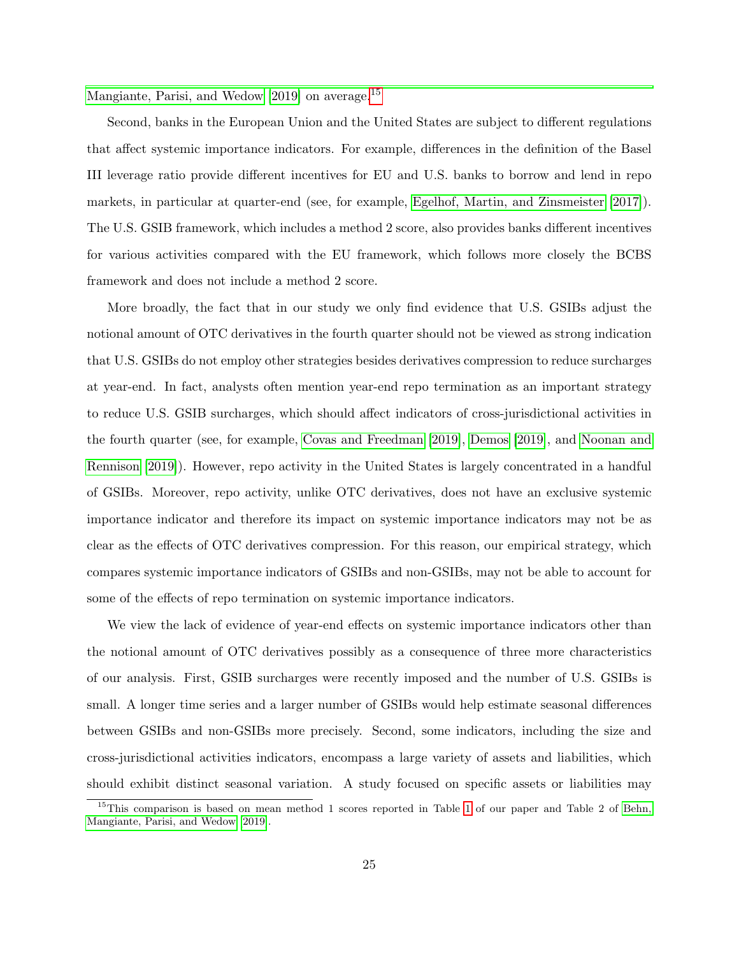[Mangiante, Parisi, and Wedow](#page-31-0) [\[2019\]](#page-31-0) on average.<sup>[15](#page-25-0)</sup>

Second, banks in the European Union and the United States are subject to different regulations that affect systemic importance indicators. For example, differences in the definition of the Basel III leverage ratio provide different incentives for EU and U.S. banks to borrow and lend in repo markets, in particular at quarter-end (see, for example, [Egelhof, Martin, and Zinsmeister](#page-32-8) [\[2017\]](#page-32-8)). The U.S. GSIB framework, which includes a method 2 score, also provides banks different incentives for various activities compared with the EU framework, which follows more closely the BCBS framework and does not include a method 2 score.

More broadly, the fact that in our study we only find evidence that U.S. GSIBs adjust the notional amount of OTC derivatives in the fourth quarter should not be viewed as strong indication that U.S. GSIBs do not employ other strategies besides derivatives compression to reduce surcharges at year-end. In fact, analysts often mention year-end repo termination as an important strategy to reduce U.S. GSIB surcharges, which should affect indicators of cross-jurisdictional activities in the fourth quarter (see, for example, [Covas and Freedman](#page-32-6) [\[2019\]](#page-32-6), [Demos](#page-32-9) [\[2019\]](#page-32-9), and [Noonan and](#page-34-8) [Rennison](#page-34-8) [\[2019\]](#page-34-8)). However, repo activity in the United States is largely concentrated in a handful of GSIBs. Moreover, repo activity, unlike OTC derivatives, does not have an exclusive systemic importance indicator and therefore its impact on systemic importance indicators may not be as clear as the effects of OTC derivatives compression. For this reason, our empirical strategy, which compares systemic importance indicators of GSIBs and non-GSIBs, may not be able to account for some of the effects of repo termination on systemic importance indicators.

We view the lack of evidence of year-end effects on systemic importance indicators other than the notional amount of OTC derivatives possibly as a consequence of three more characteristics of our analysis. First, GSIB surcharges were recently imposed and the number of U.S. GSIBs is small. A longer time series and a larger number of GSIBs would help estimate seasonal differences between GSIBs and non-GSIBs more precisely. Second, some indicators, including the size and cross-jurisdictional activities indicators, encompass a large variety of assets and liabilities, which should exhibit distinct seasonal variation. A study focused on specific assets or liabilities may

<span id="page-25-0"></span><sup>&</sup>lt;sup>15</sup>This comparison is based on mean method [1](#page-9-0) scores reported in Table 1 of our paper and Table 2 of [Behn,](#page-31-0) [Mangiante, Parisi, and Wedow](#page-31-0) [\[2019\]](#page-31-0).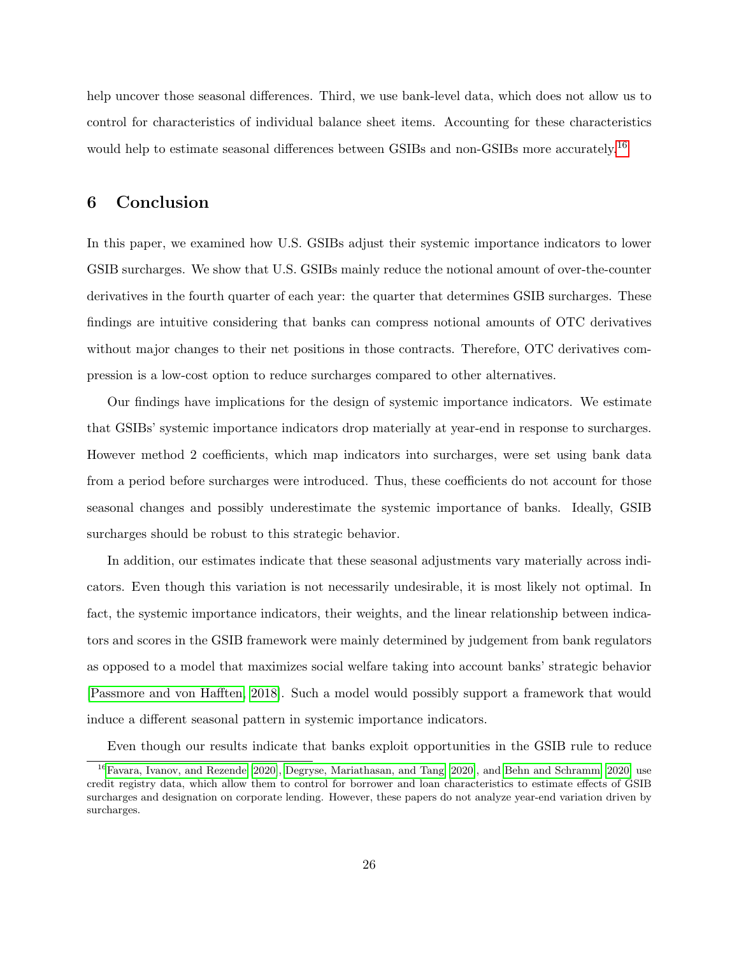help uncover those seasonal differences. Third, we use bank-level data, which does not allow us to control for characteristics of individual balance sheet items. Accounting for these characteristics would help to estimate seasonal differences between GSIBs and non-GSIBs more accurately.<sup>[16](#page-26-1)</sup>

### <span id="page-26-0"></span>6 Conclusion

In this paper, we examined how U.S. GSIBs adjust their systemic importance indicators to lower GSIB surcharges. We show that U.S. GSIBs mainly reduce the notional amount of over-the-counter derivatives in the fourth quarter of each year: the quarter that determines GSIB surcharges. These findings are intuitive considering that banks can compress notional amounts of OTC derivatives without major changes to their net positions in those contracts. Therefore, OTC derivatives compression is a low-cost option to reduce surcharges compared to other alternatives.

Our findings have implications for the design of systemic importance indicators. We estimate that GSIBs' systemic importance indicators drop materially at year-end in response to surcharges. However method 2 coefficients, which map indicators into surcharges, were set using bank data from a period before surcharges were introduced. Thus, these coefficients do not account for those seasonal changes and possibly underestimate the systemic importance of banks. Ideally, GSIB surcharges should be robust to this strategic behavior.

In addition, our estimates indicate that these seasonal adjustments vary materially across indicators. Even though this variation is not necessarily undesirable, it is most likely not optimal. In fact, the systemic importance indicators, their weights, and the linear relationship between indicators and scores in the GSIB framework were mainly determined by judgement from bank regulators as opposed to a model that maximizes social welfare taking into account banks' strategic behavior [\[Passmore and von Hafften, 2018\]](#page-34-5). Such a model would possibly support a framework that would induce a different seasonal pattern in systemic importance indicators.

<span id="page-26-1"></span>Even though our results indicate that banks exploit opportunities in the GSIB rule to reduce

<sup>&</sup>lt;sup>16</sup>[Favara, Ivanov, and Rezende](#page-33-1) [\[2020\]](#page-31-1), [Degryse, Mariathasan, and Tang](#page-32-0) [2020], and [Behn and Schramm](#page-31-1) [2020] use credit registry data, which allow them to control for borrower and loan characteristics to estimate effects of GSIB surcharges and designation on corporate lending. However, these papers do not analyze year-end variation driven by surcharges.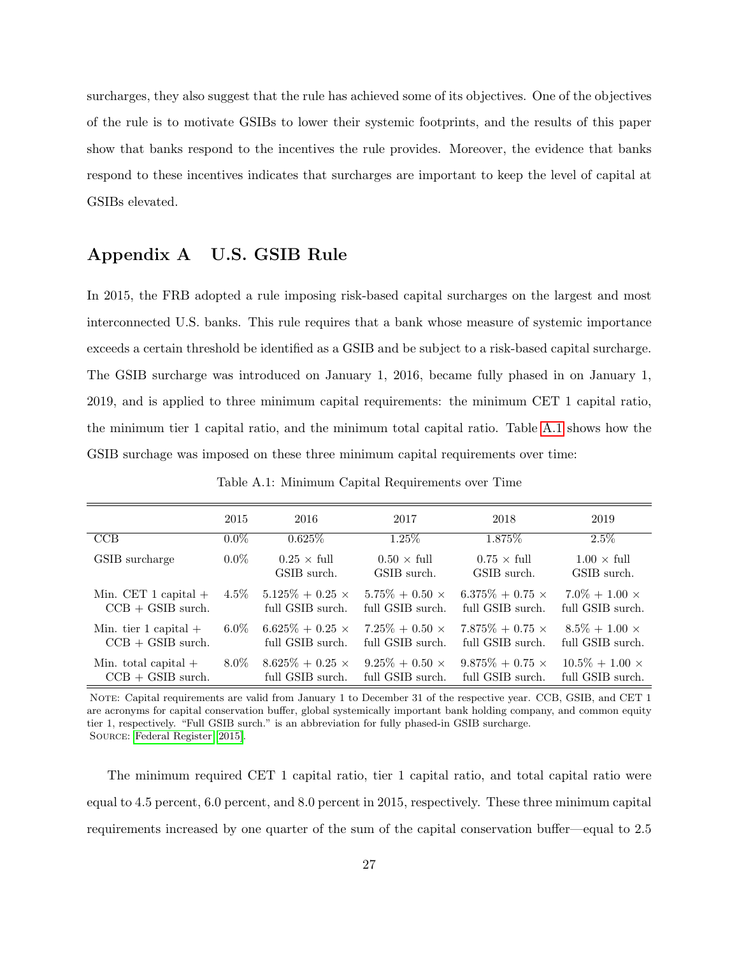surcharges, they also suggest that the rule has achieved some of its objectives. One of the objectives of the rule is to motivate GSIBs to lower their systemic footprints, and the results of this paper show that banks respond to the incentives the rule provides. Moreover, the evidence that banks respond to these incentives indicates that surcharges are important to keep the level of capital at GSIBs elevated.

# <span id="page-27-0"></span>Appendix A U.S. GSIB Rule

In 2015, the FRB adopted a rule imposing risk-based capital surcharges on the largest and most interconnected U.S. banks. This rule requires that a bank whose measure of systemic importance exceeds a certain threshold be identified as a GSIB and be subject to a risk-based capital surcharge. The GSIB surcharge was introduced on January 1, 2016, became fully phased in on January 1, 2019, and is applied to three minimum capital requirements: the minimum CET 1 capital ratio, the minimum tier 1 capital ratio, and the minimum total capital ratio. Table [A.1](#page-27-1) shows how the GSIB surchage was imposed on these three minimum capital requirements over time:

<span id="page-27-1"></span>

|                         | 2015    | 2016                                     | 2017                                     | 2018                                     | 2019                                     |
|-------------------------|---------|------------------------------------------|------------------------------------------|------------------------------------------|------------------------------------------|
| CCB                     | $0.0\%$ | $0.625\%$                                | $1.25\%$                                 | 1.875\%                                  | $2.5\%$                                  |
| GSIB surcharge          | $0.0\%$ | $0.25 \times \text{full}$<br>GSIB surch. | $0.50 \times \text{full}$<br>GSIB surch. | $0.75 \times \text{full}$<br>GSIB surch. | $1.00 \times \text{full}$<br>GSIB surch. |
| Min. CET 1 capital $+$  | $4.5\%$ | $5.125\% + 0.25 \times$                  | $5.75\% + 0.50 \times$                   | $6.375\% + 0.75 \times$                  | $7.0\% + 1.00 \times$                    |
| $CCB + GSIB$ surch.     |         | full GSIB surch.                         | full GSIB surch.                         | full GSIB surch.                         | full GSIB surch.                         |
| Min. tier 1 capital $+$ | $6.0\%$ | $6.625\% + 0.25 \times$                  | $7.25\% + 0.50 \times$                   | $7.875\% + 0.75 \times$                  | $8.5\% + 1.00 \times$                    |
| $CCB + GSIB$ surch.     |         | full GSIB surch.                         | full GSIB surch.                         | full GSIB surch.                         | full GSIB surch.                         |
| Min. total capital $+$  | $8.0\%$ | $8.625\% + 0.25 \times$                  | $9.25\% + 0.50 \times$                   | $9.875\% + 0.75 \times$                  | $10.5\% + 1.00 \times$                   |
| $CCB + GSIB$ surch.     |         | full GSIB surch.                         | full GSIB surch.                         | full GSIB surch.                         | full GSIB surch.                         |

Table A.1: Minimum Capital Requirements over Time

Note: Capital requirements are valid from January 1 to December 31 of the respective year. CCB, GSIB, and CET 1 are acronyms for capital conservation buffer, global systemically important bank holding company, and common equity tier 1, respectively. "Full GSIB surch." is an abbreviation for fully phased-in GSIB surcharge. Source: [Federal Register](#page-33-8) [\[2015\]](#page-33-8).

The minimum required CET 1 capital ratio, tier 1 capital ratio, and total capital ratio were equal to 4.5 percent, 6.0 percent, and 8.0 percent in 2015, respectively. These three minimum capital requirements increased by one quarter of the sum of the capital conservation buffer—equal to 2.5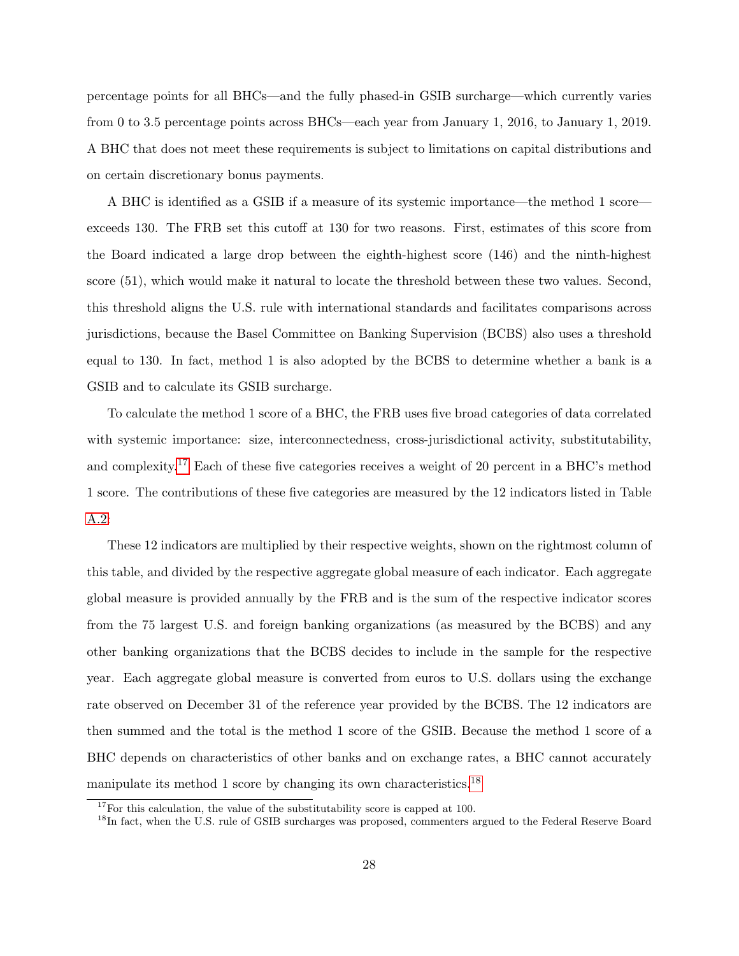percentage points for all BHCs—and the fully phased-in GSIB surcharge—which currently varies from 0 to 3.5 percentage points across BHCs—each year from January 1, 2016, to January 1, 2019. A BHC that does not meet these requirements is subject to limitations on capital distributions and on certain discretionary bonus payments.

A BHC is identified as a GSIB if a measure of its systemic importance—the method 1 score exceeds 130. The FRB set this cutoff at 130 for two reasons. First, estimates of this score from the Board indicated a large drop between the eighth-highest score (146) and the ninth-highest score (51), which would make it natural to locate the threshold between these two values. Second, this threshold aligns the U.S. rule with international standards and facilitates comparisons across jurisdictions, because the Basel Committee on Banking Supervision (BCBS) also uses a threshold equal to 130. In fact, method 1 is also adopted by the BCBS to determine whether a bank is a GSIB and to calculate its GSIB surcharge.

To calculate the method 1 score of a BHC, the FRB uses five broad categories of data correlated with systemic importance: size, interconnectedness, cross-jurisdictional activity, substitutability, and complexity.<sup>[17](#page-28-0)</sup> Each of these five categories receives a weight of 20 percent in a BHC's method 1 score. The contributions of these five categories are measured by the 12 indicators listed in Table [A.2:](#page-29-0)

These 12 indicators are multiplied by their respective weights, shown on the rightmost column of this table, and divided by the respective aggregate global measure of each indicator. Each aggregate global measure is provided annually by the FRB and is the sum of the respective indicator scores from the 75 largest U.S. and foreign banking organizations (as measured by the BCBS) and any other banking organizations that the BCBS decides to include in the sample for the respective year. Each aggregate global measure is converted from euros to U.S. dollars using the exchange rate observed on December 31 of the reference year provided by the BCBS. The 12 indicators are then summed and the total is the method 1 score of the GSIB. Because the method 1 score of a BHC depends on characteristics of other banks and on exchange rates, a BHC cannot accurately manipulate its method 1 score by changing its own characteristics.[18](#page-28-1)

<span id="page-28-0"></span> $17$  For this calculation, the value of the substitutability score is capped at 100.

<span id="page-28-1"></span><sup>&</sup>lt;sup>18</sup>In fact, when the U.S. rule of GSIB surcharges was proposed, commenters argued to the Federal Reserve Board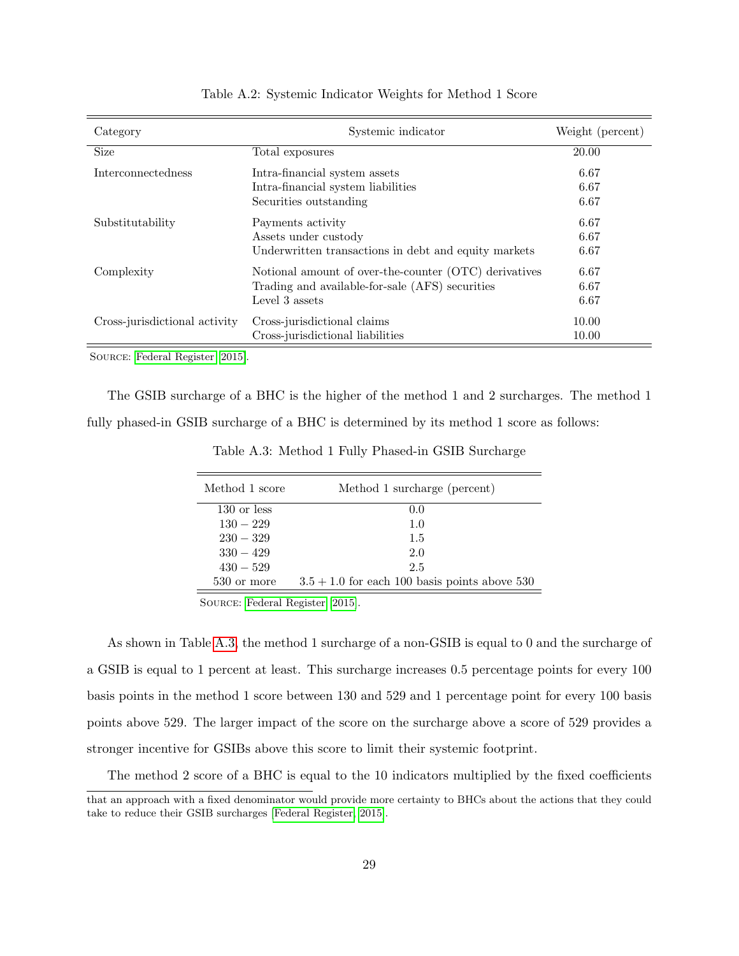<span id="page-29-0"></span>

| Category                      | Systemic indicator                                    | Weight (percent) |
|-------------------------------|-------------------------------------------------------|------------------|
| <b>Size</b>                   | Total exposures                                       | 20.00            |
| <b>Interconnectedness</b>     | Intra-financial system assets                         | 6.67             |
|                               | Intra-financial system liabilities                    | 6.67             |
|                               | Securities outstanding                                | 6.67             |
| Substitutability              | Payments activity                                     | 6.67             |
|                               | Assets under custody                                  | 6.67             |
|                               | Underwritten transactions in debt and equity markets  | 6.67             |
| Complexity                    | Notional amount of over-the-counter (OTC) derivatives | 6.67             |
|                               | Trading and available-for-sale (AFS) securities       | 6.67             |
|                               | Level 3 assets                                        | 6.67             |
| Cross-jurisdictional activity | Cross-jurisdictional claims                           | 10.00            |
|                               | Cross-jurisdictional liabilities                      | 10.00            |

#### Table A.2: Systemic Indicator Weights for Method 1 Score

Source: [Federal Register](#page-33-8) [\[2015\]](#page-33-8).

<span id="page-29-1"></span>The GSIB surcharge of a BHC is the higher of the method 1 and 2 surcharges. The method 1 fully phased-in GSIB surcharge of a BHC is determined by its method 1 score as follows:

| Method 1 score | Method 1 surcharge (percent)                    |
|----------------|-------------------------------------------------|
| $130$ or less  | 0.0                                             |
| $130 - 229$    | 1.0                                             |
| $230 - 329$    | 1.5                                             |
| $330 - 429$    | 2.0                                             |
| $430 - 529$    | 2.5                                             |
| 530 or more    | $3.5 + 1.0$ for each 100 basis points above 530 |

Table A.3: Method 1 Fully Phased-in GSIB Surcharge

Source: [Federal Register](#page-33-8) [\[2015\]](#page-33-8).

As shown in Table [A.3,](#page-29-1) the method 1 surcharge of a non-GSIB is equal to 0 and the surcharge of a GSIB is equal to 1 percent at least. This surcharge increases 0.5 percentage points for every 100 basis points in the method 1 score between 130 and 529 and 1 percentage point for every 100 basis points above 529. The larger impact of the score on the surcharge above a score of 529 provides a stronger incentive for GSIBs above this score to limit their systemic footprint.

The method 2 score of a BHC is equal to the 10 indicators multiplied by the fixed coefficients that an approach with a fixed denominator would provide more certainty to BHCs about the actions that they could take to reduce their GSIB surcharges [\[Federal Register, 2015\]](#page-33-8).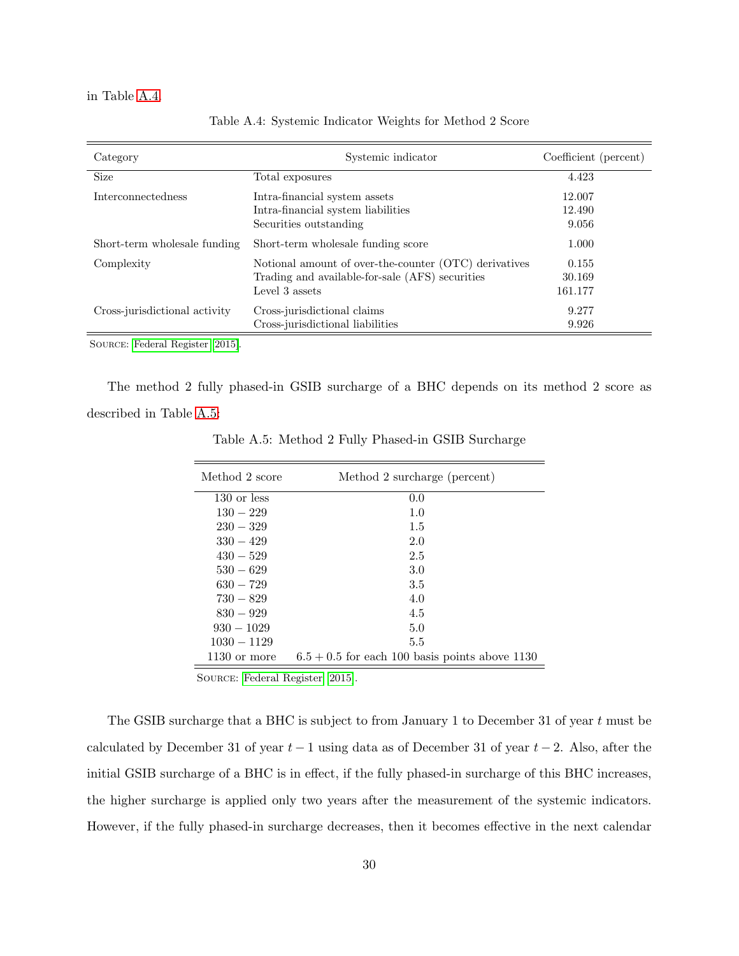<span id="page-30-0"></span>in Table [A.4.](#page-30-0)

| Category                      | Systemic indicator                                                                                                         | Coefficient (percent)      |
|-------------------------------|----------------------------------------------------------------------------------------------------------------------------|----------------------------|
| <b>Size</b>                   | Total exposures                                                                                                            | 4.423                      |
| Interconnectedness            | Intra-financial system assets<br>Intra-financial system liabilities<br>Securities outstanding                              | 12.007<br>12.490<br>9.056  |
| Short-term wholesale funding  | Short-term wholesale funding score                                                                                         | 1.000                      |
| Complexity                    | Notional amount of over-the-counter (OTC) derivatives<br>Trading and available-for-sale (AFS) securities<br>Level 3 assets | 0.155<br>30.169<br>161.177 |
| Cross-jurisdictional activity | Cross-jurisdictional claims<br>Cross-jurisdictional liabilities                                                            | 9.277<br>9.926             |

Table A.4: Systemic Indicator Weights for Method 2 Score

Source: [Federal Register](#page-33-8) [\[2015\]](#page-33-8).

<span id="page-30-1"></span>The method 2 fully phased-in GSIB surcharge of a BHC depends on its method 2 score as described in Table [A.5:](#page-30-1)

| Method 2 score | Method 2 surcharge (percent)                     |
|----------------|--------------------------------------------------|
| $130$ or less  | 0.0                                              |
| $130 - 229$    | 1.0                                              |
| $230 - 329$    | 1.5                                              |
| $330 - 429$    | 2.0                                              |
| $430 - 529$    | 2.5                                              |
| $530 - 629$    | 3.0                                              |
| $630 - 729$    | 3.5                                              |
| $730 - 829$    | 4.0                                              |
| $830 - 929$    | 4.5                                              |
| $930 - 1029$   | 5.0                                              |
| $1030 - 1129$  | 5.5                                              |
| $1130$ or more | $6.5 + 0.5$ for each 100 basis points above 1130 |

Table A.5: Method 2 Fully Phased-in GSIB Surcharge

Source: [Federal Register](#page-33-8) [\[2015\]](#page-33-8).

The GSIB surcharge that a BHC is subject to from January 1 to December 31 of year t must be calculated by December 31 of year  $t-1$  using data as of December 31 of year  $t-2$ . Also, after the initial GSIB surcharge of a BHC is in effect, if the fully phased-in surcharge of this BHC increases, the higher surcharge is applied only two years after the measurement of the systemic indicators. However, if the fully phased-in surcharge decreases, then it becomes effective in the next calendar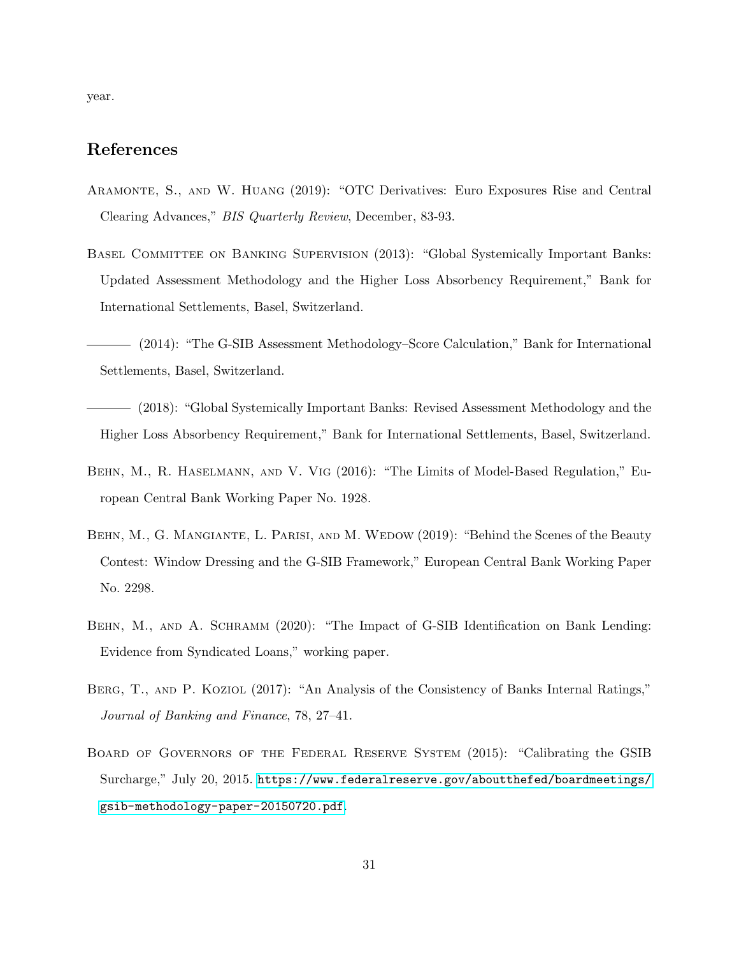year.

# References

- <span id="page-31-8"></span>Aramonte, S., and W. Huang (2019): "OTC Derivatives: Euro Exposures Rise and Central Clearing Advances," BIS Quarterly Review, December, 83-93.
- <span id="page-31-4"></span>Basel Committee on Banking Supervision (2013): "Global Systemically Important Banks: Updated Assessment Methodology and the Higher Loss Absorbency Requirement," Bank for International Settlements, Basel, Switzerland.
- <span id="page-31-7"></span>(2014): "The G-SIB Assessment Methodology–Score Calculation," Bank for International Settlements, Basel, Switzerland.
- <span id="page-31-6"></span>(2018): "Global Systemically Important Banks: Revised Assessment Methodology and the Higher Loss Absorbency Requirement," Bank for International Settlements, Basel, Switzerland.
- <span id="page-31-2"></span>Behn, M., R. Haselmann, and V. Vig (2016): "The Limits of Model-Based Regulation," European Central Bank Working Paper No. 1928.
- <span id="page-31-0"></span>BEHN, M., G. MANGIANTE, L. PARISI, AND M. WEDOW (2019): "Behind the Scenes of the Beauty Contest: Window Dressing and the G-SIB Framework," European Central Bank Working Paper No. 2298.
- <span id="page-31-1"></span>BEHN, M., AND A. SCHRAMM (2020): "The Impact of G-SIB Identification on Bank Lending: Evidence from Syndicated Loans," working paper.
- <span id="page-31-3"></span>BERG, T., AND P. KOZIOL (2017): "An Analysis of the Consistency of Banks Internal Ratings," Journal of Banking and Finance, 78, 27–41.
- <span id="page-31-5"></span>Board of Governors of the Federal Reserve System (2015): "Calibrating the GSIB Surcharge," July 20, 2015. [https://www.federalreserve.gov/aboutthefed/boardmeetings/](https://www.federalreserve.gov/aboutthefed/boardmeetings/gsib-methodology-paper-20150720.pdf) [gsib-methodology-paper-20150720.pdf](https://www.federalreserve.gov/aboutthefed/boardmeetings/gsib-methodology-paper-20150720.pdf).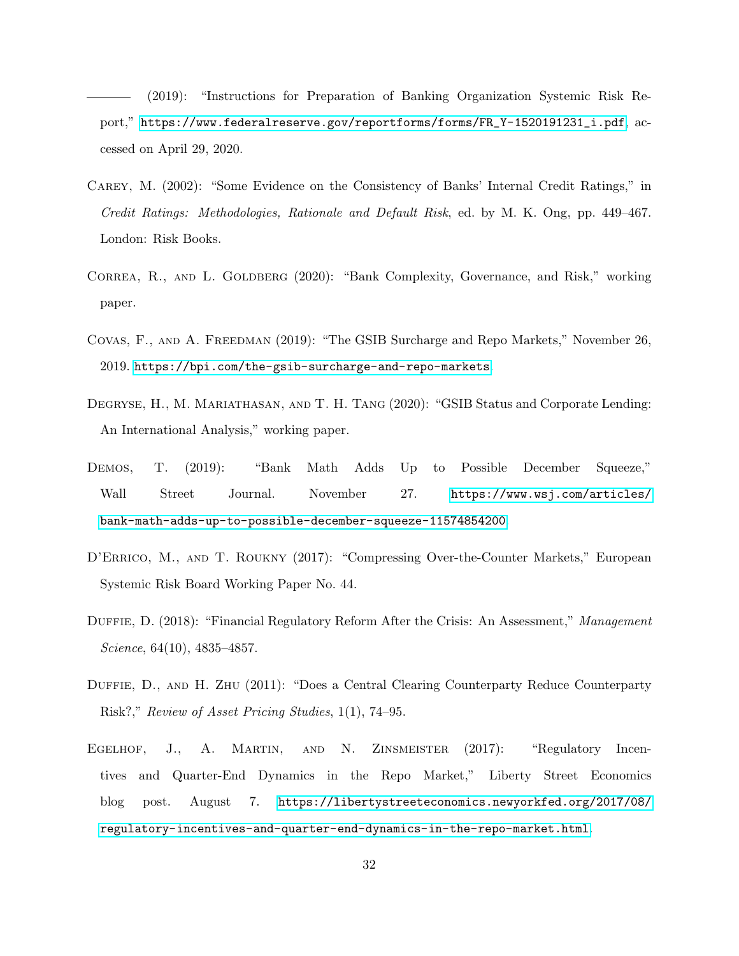<span id="page-32-7"></span>(2019): "Instructions for Preparation of Banking Organization Systemic Risk Report," [https://www.federalreserve.gov/reportforms/forms/FR\\_Y-1520191231\\_i.pdf](https://www.federalreserve.gov/reportforms/forms/FR_Y-1520191231_i.pdf), accessed on April 29, 2020.

- <span id="page-32-1"></span>Carey, M. (2002): "Some Evidence on the Consistency of Banks' Internal Credit Ratings," in Credit Ratings: Methodologies, Rationale and Default Risk, ed. by M. K. Ong, pp. 449–467. London: Risk Books.
- <span id="page-32-5"></span>CORREA, R., AND L. GOLDBERG (2020): "Bank Complexity, Governance, and Risk," working paper.
- <span id="page-32-6"></span>Covas, F., and A. Freedman (2019): "The GSIB Surcharge and Repo Markets," November 26, 2019. <https://bpi.com/the-gsib-surcharge-and-repo-markets>.
- <span id="page-32-0"></span>DEGRYSE, H., M. MARIATHASAN, AND T. H. TANG (2020): "GSIB Status and Corporate Lending: An International Analysis," working paper.
- <span id="page-32-9"></span>DEMOS, T. (2019): "Bank Math Adds Up to Possible December Squeeze," Wall Street Journal. November 27. [https://www.wsj.com/articles/](https://www.wsj.com/articles/bank-math-adds-up-to-possible-december-squeeze-11574854200) [bank-math-adds-up-to-possible-december-squeeze-11574854200](https://www.wsj.com/articles/bank-math-adds-up-to-possible-december-squeeze-11574854200).
- <span id="page-32-3"></span>D'Errico, M., and T. Roukny (2017): "Compressing Over-the-Counter Markets," European Systemic Risk Board Working Paper No. 44.
- <span id="page-32-4"></span>DUFFIE, D. (2018): "Financial Regulatory Reform After the Crisis: An Assessment," Management Science, 64(10), 4835–4857.
- <span id="page-32-2"></span>Duffie, D., and H. Zhu (2011): "Does a Central Clearing Counterparty Reduce Counterparty Risk?," Review of Asset Pricing Studies, 1(1), 74–95.
- <span id="page-32-8"></span>EGELHOF, J., A. MARTIN, AND N. ZINSMEISTER (2017): "Regulatory Incentives and Quarter-End Dynamics in the Repo Market," Liberty Street Economics blog post. August 7. [https://libertystreeteconomics.newyorkfed.org/2017/08/](https://libertystreeteconomics.newyorkfed.org/2017/08/regulatory-incentives-and-quarter-end-dynamics-in-the-repo-market.html) [regulatory-incentives-and-quarter-end-dynamics-in-the-repo-market.html](https://libertystreeteconomics.newyorkfed.org/2017/08/regulatory-incentives-and-quarter-end-dynamics-in-the-repo-market.html).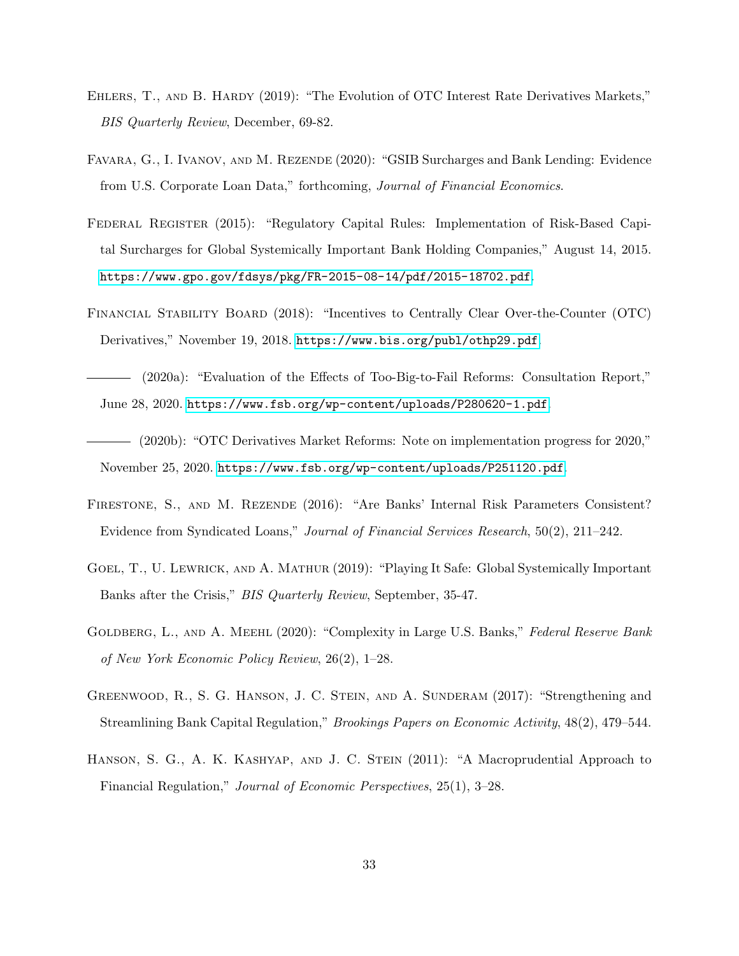- <span id="page-33-10"></span>EHLERS, T., AND B. HARDY (2019): "The Evolution of OTC Interest Rate Derivatives Markets," BIS Quarterly Review, December, 69-82.
- <span id="page-33-1"></span>Favara, G., I. Ivanov, and M. Rezende (2020): "GSIB Surcharges and Bank Lending: Evidence from U.S. Corporate Loan Data," forthcoming, Journal of Financial Economics.
- <span id="page-33-8"></span>Federal Register (2015): "Regulatory Capital Rules: Implementation of Risk-Based Capital Surcharges for Global Systemically Important Bank Holding Companies," August 14, 2015. <https://www.gpo.gov/fdsys/pkg/FR-2015-08-14/pdf/2015-18702.pdf>.
- <span id="page-33-0"></span>Financial Stability Board (2018): "Incentives to Centrally Clear Over-the-Counter (OTC) Derivatives," November 19, 2018. <https://www.bis.org/publ/othp29.pdf>.
- <span id="page-33-6"></span>(2020a): "Evaluation of the Effects of Too-Big-to-Fail Reforms: Consultation Report," June 28, 2020. <https://www.fsb.org/wp-content/uploads/P280620-1.pdf>.
- <span id="page-33-9"></span>(2020b): "OTC Derivatives Market Reforms: Note on implementation progress for 2020," November 25, 2020. <https://www.fsb.org/wp-content/uploads/P251120.pdf>.
- <span id="page-33-3"></span>FIRESTONE, S., AND M. REZENDE (2016): "Are Banks' Internal Risk Parameters Consistent? Evidence from Syndicated Loans," Journal of Financial Services Research, 50(2), 211–242.
- <span id="page-33-2"></span>GOEL, T., U. LEWRICK, AND A. MATHUR (2019): "Playing It Safe: Global Systemically Important Banks after the Crisis," BIS Quarterly Review, September, 35-47.
- <span id="page-33-7"></span>GOLDBERG, L., AND A. MEEHL (2020): "Complexity in Large U.S. Banks," Federal Reserve Bank of New York Economic Policy Review, 26(2), 1–28.
- <span id="page-33-5"></span>GREENWOOD, R., S. G. HANSON, J. C. STEIN, AND A. SUNDERAM (2017): "Strengthening and Streamlining Bank Capital Regulation," Brookings Papers on Economic Activity, 48(2), 479–544.
- <span id="page-33-4"></span>HANSON, S. G., A. K. KASHYAP, AND J. C. STEIN (2011): "A Macroprudential Approach to Financial Regulation," Journal of Economic Perspectives, 25(1), 3–28.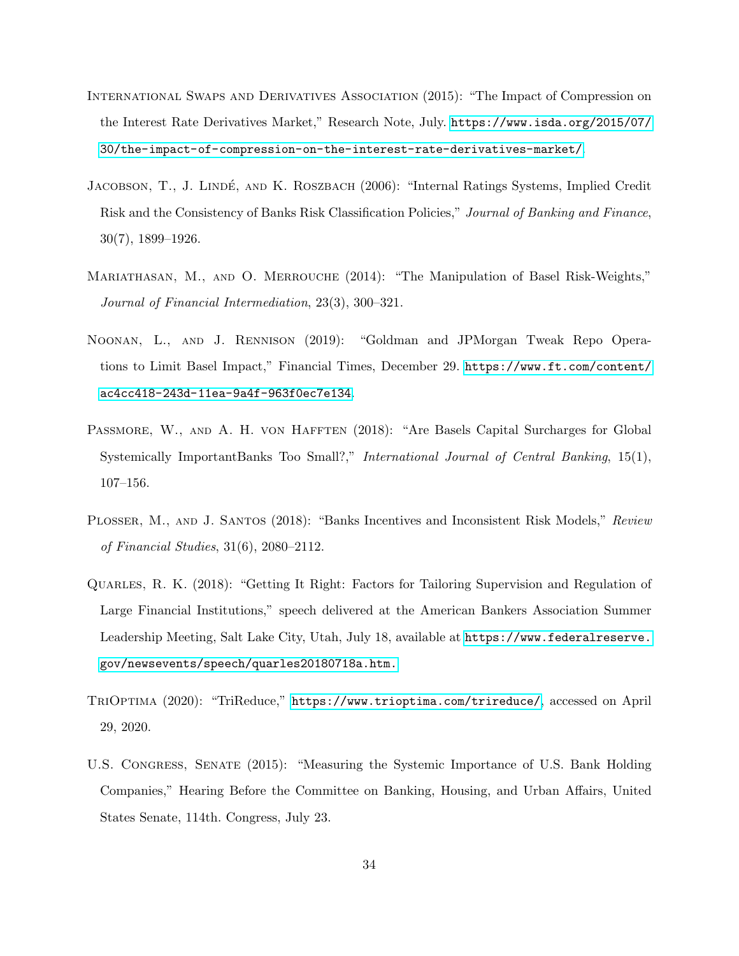- <span id="page-34-6"></span>International Swaps and Derivatives Association (2015): "The Impact of Compression on the Interest Rate Derivatives Market," Research Note, July. [https://www.isda.org/2015/07/](https://www.isda.org/2015/07/30/the-impact-of-compression-on-the-interest-rate-derivatives-market/) [30/the-impact-of-compression-on-the-interest-rate-derivatives-market/](https://www.isda.org/2015/07/30/the-impact-of-compression-on-the-interest-rate-derivatives-market/).
- <span id="page-34-0"></span>JACOBSON, T., J. LINDÉ, AND K. ROSZBACH (2006): "Internal Ratings Systems, Implied Credit Risk and the Consistency of Banks Risk Classification Policies," Journal of Banking and Finance, 30(7), 1899–1926.
- <span id="page-34-1"></span>Mariathasan, M., and O. Merrouche (2014): "The Manipulation of Basel Risk-Weights," Journal of Financial Intermediation, 23(3), 300–321.
- <span id="page-34-8"></span>Noonan, L., and J. Rennison (2019): "Goldman and JPMorgan Tweak Repo Operations to Limit Basel Impact," Financial Times, December 29. [https://www.ft.com/content/](https://www.ft.com/content/ac4cc418-243d-11ea-9a4f-963f0ec7e134) [ac4cc418-243d-11ea-9a4f-963f0ec7e134](https://www.ft.com/content/ac4cc418-243d-11ea-9a4f-963f0ec7e134).
- <span id="page-34-5"></span>PASSMORE, W., AND A. H. VON HAFFTEN (2018): "Are Basels Capital Surcharges for Global Systemically ImportantBanks Too Small?," International Journal of Central Banking, 15(1), 107–156.
- <span id="page-34-2"></span>PLOSSER, M., AND J. SANTOS (2018): "Banks Incentives and Inconsistent Risk Models," Review of Financial Studies, 31(6), 2080–2112.
- <span id="page-34-3"></span>Quarles, R. K. (2018): "Getting It Right: Factors for Tailoring Supervision and Regulation of Large Financial Institutions," speech delivered at the American Bankers Association Summer Leadership Meeting, Salt Lake City, Utah, July 18, available at [https://www.federalreserve.](https://www.federalreserve.gov/newsevents/speech/quarles20180718a.htm.) [gov/newsevents/speech/quarles20180718a.htm.](https://www.federalreserve.gov/newsevents/speech/quarles20180718a.htm.)
- <span id="page-34-7"></span>TriOptima (2020): "TriReduce," <https://www.trioptima.com/trireduce/>, accessed on April 29, 2020.
- <span id="page-34-4"></span>U.S. Congress, Senate (2015): "Measuring the Systemic Importance of U.S. Bank Holding Companies," Hearing Before the Committee on Banking, Housing, and Urban Affairs, United States Senate, 114th. Congress, July 23.